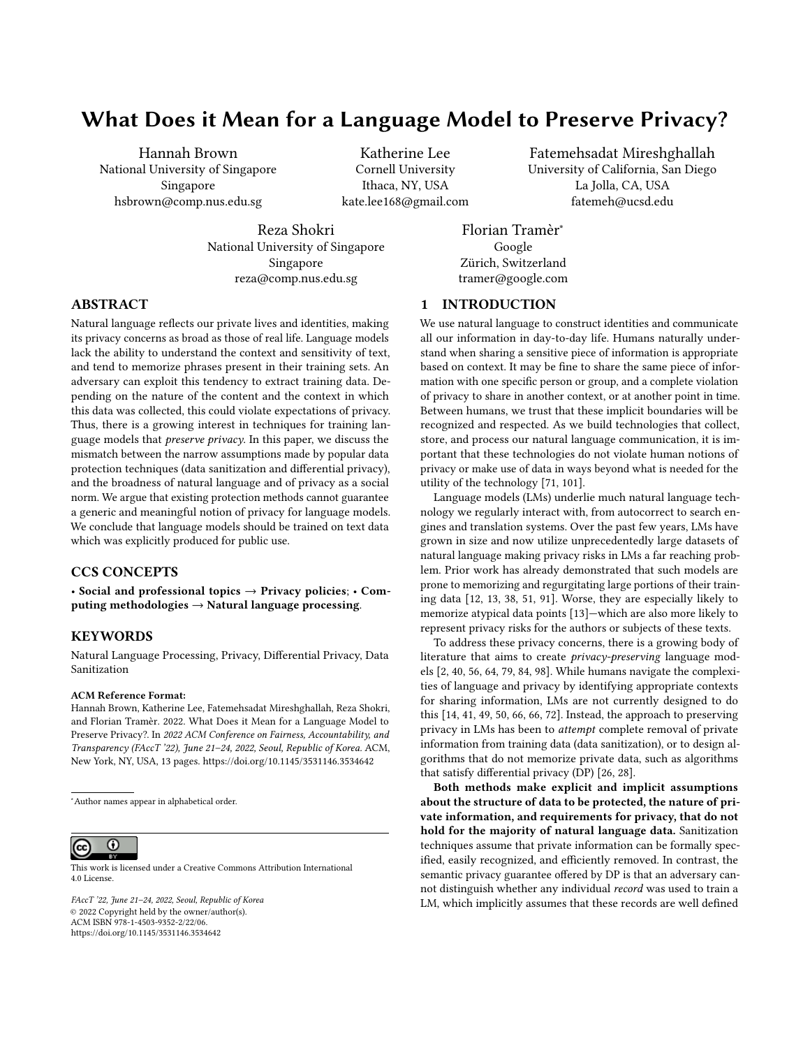# What Does it Mean for a Language Model to Preserve Privacy?

[Hannah Brown](https://orcid.org/0000-0001-6350-874X) National University of Singapore Singapore hsbrown@comp.nus.edu.sg

> [Reza Shokri](https://orcid.org/0000-0001-9816-0173) National University of Singapore Singapore reza@comp.nus.edu.sg

Katherine Lee Cornell University Ithaca, NY, USA kate.lee168@gmail.com [Fatemehsadat Mireshghallah](https://orcid.org/0000-0003-4090-9756) University of California, San Diego La Jolla, CA, USA fatemeh@ucsd.edu

Florian Tramèr<sup>∗</sup> Google Zürich, Switzerland tramer@google.com

# 1 INTRODUCTION

ABSTRACT

Natural language reflects our private lives and identities, making its privacy concerns as broad as those of real life. Language models lack the ability to understand the context and sensitivity of text, and tend to memorize phrases present in their training sets. An adversary can exploit this tendency to extract training data. Depending on the nature of the content and the context in which this data was collected, this could violate expectations of privacy. Thus, there is a growing interest in techniques for training language models that preserve privacy. In this paper, we discuss the mismatch between the narrow assumptions made by popular data protection techniques (data sanitization and differential privacy), and the broadness of natural language and of privacy as a social norm. We argue that existing protection methods cannot guarantee a generic and meaningful notion of privacy for language models. We conclude that language models should be trained on text data which was explicitly produced for public use.

# CCS CONCEPTS

• Social and professional topics → Privacy policies; • Computing methodologies  $\rightarrow$  Natural language processing.

## KEYWORDS

Natural Language Processing, Privacy, Differential Privacy, Data Sanitization

#### ACM Reference Format:

Hannah Brown, Katherine Lee, Fatemehsadat Mireshghallah, Reza Shokri, and Florian Tramèr. 2022. What Does it Mean for a Language Model to Preserve Privacy?. In 2022 ACM Conference on Fairness, Accountability, and Transparency (FAccT '22), June 21-24, 2022, Seoul, Republic of Korea. ACM, New York, NY, USA, [13](#page-12-0) pages.<https://doi.org/10.1145/3531146.3534642>

#### $\overline{\rm o}$ (cc)

This work is licensed under a [Creative Commons Attribution International](https://creativecommons.org/licenses/by/4.0/) [4.0 License.](https://creativecommons.org/licenses/by/4.0/)

FAccT '22, June 21–24, 2022, Seoul, Republic of Korea © 2022 Copyright held by the owner/author(s). ACM ISBN 978-1-4503-9352-2/22/06. <https://doi.org/10.1145/3531146.3534642>

We use natural language to construct identities and communicate all our information in day-to-day life. Humans naturally understand when sharing a sensitive piece of information is appropriate based on context. It may be fine to share the same piece of information with one specific person or group, and a complete violation of privacy to share in another context, or at another point in time. Between humans, we trust that these implicit boundaries will be recognized and respected. As we build technologies that collect, store, and process our natural language communication, it is important that these technologies do not violate human notions of privacy or make use of data in ways beyond what is needed for the utility of the technology [\[71,](#page-11-0) [101\]](#page-12-1).

Language models (LMs) underlie much natural language technology we regularly interact with, from autocorrect to search engines and translation systems. Over the past few years, LMs have grown in size and now utilize unprecedentedly large datasets of natural language making privacy risks in LMs a far reaching problem. Prior work has already demonstrated that such models are prone to memorizing and regurgitating large portions of their training data [\[12,](#page-10-0) [13,](#page-10-1) [38,](#page-10-2) [51,](#page-11-1) [91\]](#page-12-2). Worse, they are especially likely to memorize atypical data points [\[13\]](#page-10-1)—which are also more likely to represent privacy risks for the authors or subjects of these texts.

To address these privacy concerns, there is a growing body of literature that aims to create privacy-preserving language models [\[2,](#page-9-0) [40,](#page-10-3) [56,](#page-11-2) [64,](#page-11-3) [79,](#page-11-4) [84,](#page-11-5) [98\]](#page-12-3). While humans navigate the complexities of language and privacy by identifying appropriate contexts for sharing information, LMs are not currently designed to do this [\[14,](#page-10-4) [41,](#page-10-5) [49,](#page-11-6) [50,](#page-11-7) [66,](#page-11-8) [66,](#page-11-8) [72\]](#page-11-9). Instead, the approach to preserving privacy in LMs has been to attempt complete removal of private information from training data (data sanitization), or to design algorithms that do not memorize private data, such as algorithms that satisfy differential privacy (DP) [\[26,](#page-10-6) [28\]](#page-10-7).

Both methods make explicit and implicit assumptions about the structure of data to be protected, the nature of private information, and requirements for privacy, that do not hold for the majority of natural language data. Sanitization techniques assume that private information can be formally specified, easily recognized, and efficiently removed. In contrast, the semantic privacy guarantee offered by DP is that an adversary cannot distinguish whether any individual record was used to train a LM, which implicitly assumes that these records are well defined

<sup>∗</sup>Author names appear in alphabetical order.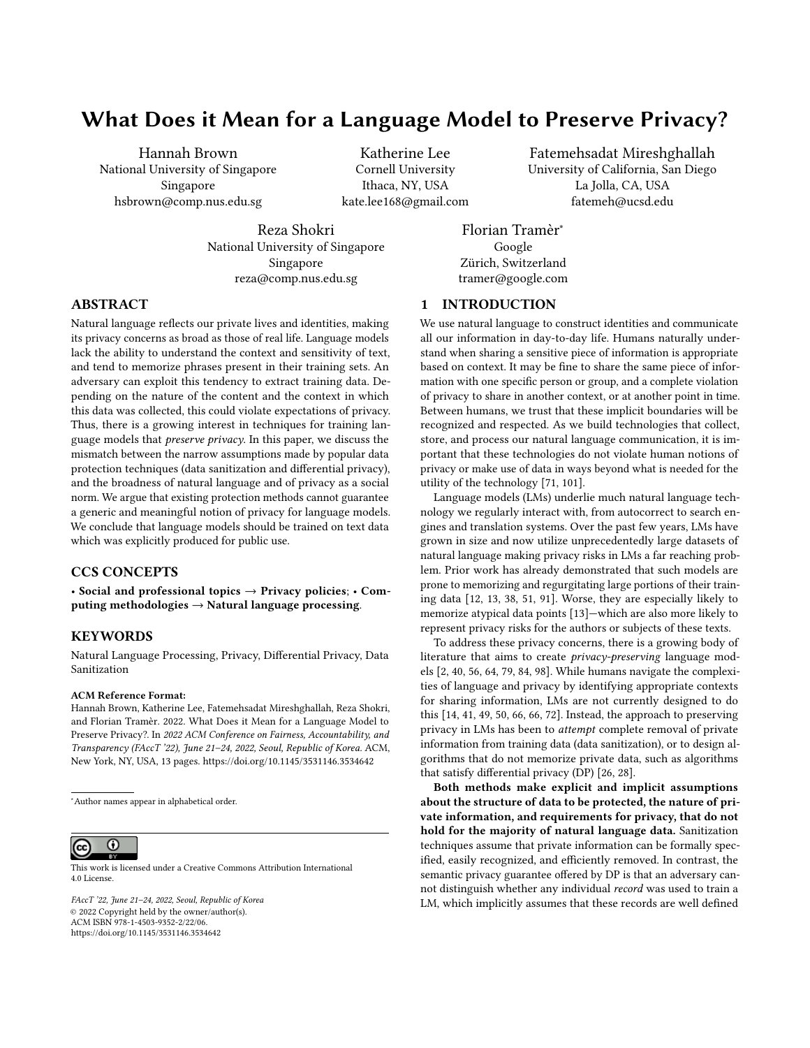and logically map to individual pieces of private information to be protected.

We argue that, while these methods provide a limited form of data protection for specific types of text data, they cannot fully satisfy the privacy expectations that humans endow on the text they share. Data sanitization is only able to recognize a vanishingly small portion of textual private information. In turn, differential privacy can only provide meaningful protection guarantees for information with clearly defined borders, ignoring the reality that text is inherently a means of communication, and that sensitive information is routinely written by or shared among groups of individuals, blurring the borders of private information. Instead, we argue that an appropriately named "privacy-preserving" LM should guarantee that a user's data cannot ever appear (or be inferable) outside the context they originally expected it to appear in (i.e., respect contextual integrity [\[71\]](#page-11-0) in the presence of inference attacks)—an ability that cannot be achieved without a deep understanding of the context in which this information is produced, used, and shared.

Users' private data is being constantly used to train and fine-tune various services based on language models, which can obviously violate data privacy. Instead, public sources of data (e.g., Web scrapes), seem to not pose privacy risks. Yet, public availability of language data should not be mistaken for data intended to be made public. Text may be shared by humans specifically to violate someone else's privacy (e.g., doxing), and even public social media posts are not always intended for an audience broader than one's acquaintances. Even if this is not the case, applications of LMs could make data usable or searchable in new, unintended ways, or make it harder for the data to be modified or erased. An understanding of context is necessary to judge whether it is appropriate to use a piece of data in training.

We further argue that individual users cannot give informed consent for their data to be used in training a LM. First, researchers are still working to quantifying the privacy risks of allowing one's data to be part of a LM training set. Second, one user's private information is likely contained in the text of many other users. A single user would not be able to specify how all the text they have contributed is managed. We thus conclude that data protection is not equivalent to privacy protection for natural language data and to offer any meaningful guarantee of privacy, LMs should be trained on data that was explicitly intended for fully public use, both at present and into the future.

#### 2 BACKGROUND ON LANGUAGE MODELS

Language models (LMs) are essential components of state-of-theart natural language processing pipelines, and refer to systems that are mainly trained on a large corpus of text for word sequence prediction tasks. More precisely, a language model is optimized to learn the occurrence probability of tokens<sup>[1](#page-1-0)</sup> in any sequence. based on their co-occurrences in the training data. The ultimate objective is to find the relation between a token and its preceding or surrounding segments. To this end, language models extract various statistics and correlations from sequences of words, at the level of sentences or paragraphs.

The current trends of language modeling also shows that aggressive data collection and training enormous models are crucial for improving the performance of LMs. State of the art algorithms based on large neural networks enable effective extraction and encoding of a vast number of statistics about the training corpus, and have achieved unprecedented performance on a wide range of applications. The pervasive application of LMs and the ever-larger datasets needed to train them pose serious privacy concerns.

2.0.1 Applications of Language Models. There is a significant interest in the research community and industry to apply LMs in any situation where humans use natural language such as facilitating communication or assisting humans in various services. For example, LMs are being used in call centers, medical applications, mobile phones and personal computers and home assistants (such as Apple Siri, Amazon Alexa, Google Assistant, Microsoft Cortana, etc), email and message auto-complete services, document translation and search, writing companions (such as SmartCompose [\[17\]](#page-10-8), Codex and CoPilot for code completion [\[16\]](#page-10-9)), and many other situations where personal and sensitive data is created and used. The following is a short list of some common language model tasks, which are the foundation of many of LM applications: part of speech (POS) tagging and parsing [\[25\]](#page-10-10), optical character recognition (OCR) [\[65\]](#page-11-10), automatic speech recognition [\[74\]](#page-11-11), natural language generation [\[11\]](#page-10-11), sentiment analysis [\[97\]](#page-12-4), and natural language inference [\[9\]](#page-10-12). Applications based on these tasks process potentially private data at scale, such as user queries, sensitive documents, emails, and private conversations.

2.0.2 Objectives and Types of Language Modeling. Language models are trained to construct sentences that resemble natural language. They do this by learning statistical measures to capture the local role of each word among its surrounding words and its global consistency within a longer sequence of words (e.g., the whole sentence, or the paragraph).

One core feature of LMs is learning embedding functions: mappings from words (and phrases) to vectors in a high-dimensional space such that the closeness between two vectors reflects how close the meanings of the corresponding words (and phrases) are. Embedding functions act as a proxy to encode the semantics of words and sentences in a language and are based on the particular sentences observed in a training corpus. So, training reliable embedding models requires a significant amount of training data. The embedding functions are then used as inputs for downstream NLP tasks. Two other major state-of-the-art classes of neural language models also enable generating and representing text: generative LMs which focus on next-token prediction (for example, transformer-based models [\[94\]](#page-12-5) such as GPT-3 [\[11\]](#page-10-11)) and masked LMs with the objective of filling in blanks in a sentence (for example, BERT [\[21\]](#page-10-13) and RoBERTa [\[58\]](#page-11-12)).

2.0.3 Trends in Language Modeling. Algorithms for learning language models (notably transformer LMs) show an unprecedented performance on extremely large models with hundreds of billions of parameters trained on extremely large datasets [\[7,](#page-10-14) [20,](#page-10-15) [37,](#page-10-16) [45,](#page-10-17) [100\]](#page-12-6). Figure [1](#page-2-0) illustrates this trend. What is very important to note is that using large models, large datasets, and high amounts of

<span id="page-1-0"></span> $^{\rm 1}$ a token is an instance of a character sequence that serves as a useful semantic unit for processing – it could be a character, a word or a sub-word.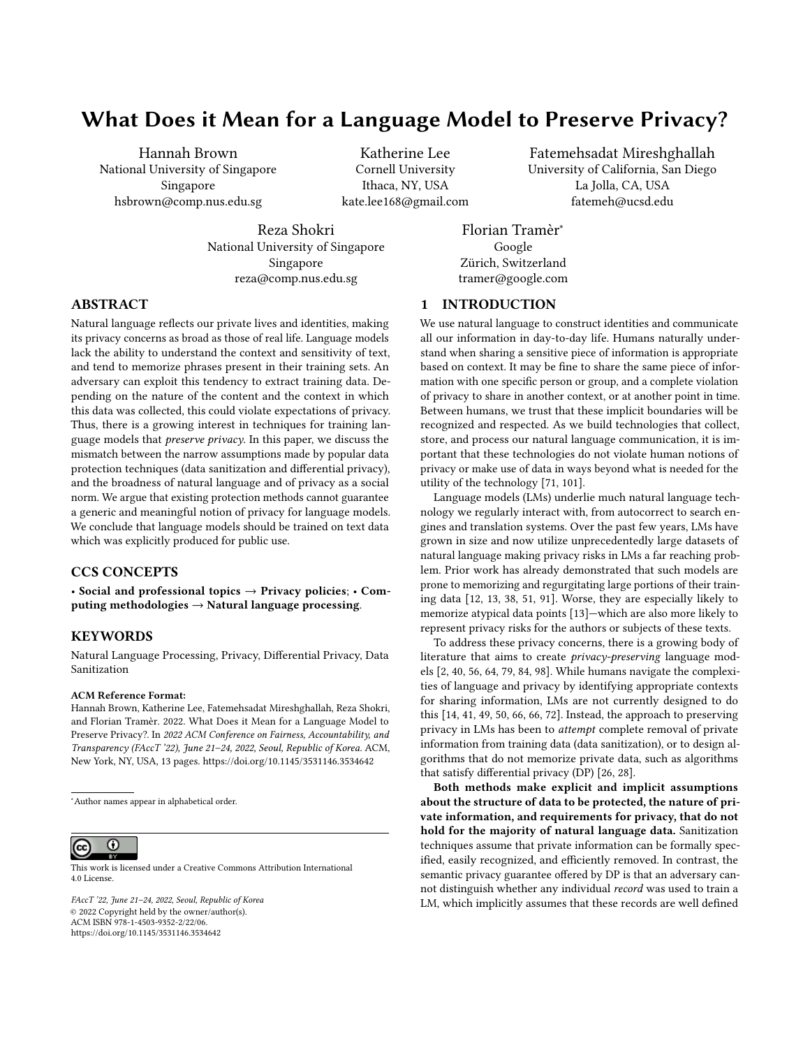<span id="page-2-0"></span>

(c) Training Data Size vs Performance

Figure 1: Recent trends in model size and training data size of language models (a and b), and the impact of training set size on model performance (c). State-of-the-art language models require a significant amount of training data. The size of top models also increases by an order of magnitude every year. These factors significantly increase the privacy risks of language models.

compute time are all essential for achieving a high performance [\[45\]](#page-10-17). Empirical results show that the error (test loss) of a transformer-based language model has a power-law relationship to its model size, dataset size, and the amount of compute used for training (see, for example, Figure [1c\)](#page-2-0). Thus, an order of magnitude scale-up is needed to observe tangible improvements in model performance.

## <span id="page-2-1"></span>3 PRIVACY RISKS OF LANGUAGE MODELS FOR THEIR TRAINING DATA

Machine learning models learn by extracting generalizable patterns from their training dataset. Yet it has also been posited that memorizing some of the training data may be necessary to optimally generalize to long-tailed data distributions [\[30\]](#page-10-18). For example, nearest neighbor language models [\[46\]](#page-10-19) which retrieve samples directly from their training dataset are shown to outperform their conventional counterparts. Data memorization can directly lead to leakage of private information from a model's training set, where behavior of the model on samples that were present in the training set is distinguishable from samples that weren't. Such leakage has been demonstrated in high-dimensional machine learning models [\[85\]](#page-12-7), and recent large LMs [\[13\]](#page-10-1). The trend appears to get worse as both the size of LMs and their training sets increase (Figure [1\)](#page-2-0). Below we discuss concrete examples of such privacy risks and their consequences.

3.0.1 Membership inference. Membership inference attacks reveal whether a given data-point was used to train a given model [\[85\]](#page-12-7). These attacks can be seen as privacy risk analysis tools [\[67\]](#page-11-13), which help reveal how much the model has memorized individual samples in its training set, and what the risk of individual users is [\[59,](#page-11-14) [69,](#page-11-15) [81,](#page-11-16) [85,](#page-12-7) [88\]](#page-12-8). An adversary who has no direct access to the model and its training data (for example in the case of machinelearning-as-a-service) is able to identify members of the training data by simply querying the model [\[85\]](#page-12-7). Membership inference attacks are alarmingly powerful against neural network models with large capacity, enabling them to identify atypical (and thus sensitive) members of the training set [\[69\]](#page-11-15). The power of membership inference attacks have been demonstrated on NLP models such as classifiers [\[83\]](#page-11-17) as well as released embeddings [\[61,](#page-11-18) [87\]](#page-12-9). Such attacks could pose especially serious risk for clinical models, where membership in the training set could reveal a person's medical conditions.

3.0.2 Training data extraction. Training data extraction refers to the risk of partially extracting training samples by interacting with a trained language model [\[12,](#page-10-0) [13,](#page-10-1) [80,](#page-11-19) [99\]](#page-12-10). An adversary can use use membership inference attacks as an oracle to generate sentence samples that have a high chance to be in the training set. This attack is demonstrated on the GPT-2 (Generative Pre-trained Transformer) language model family, which consists of three generative models, with different sizes [\[13\]](#page-10-1). The attack can successfully recover a person's full name, address, and phone number from the largest GPT-2 variant (Table [1\)](#page-4-0). The empirical results show that the larger the model is, the more training samples it memorizes: demonstrating once again the curse of high-dimensionality for data privacy. Mounting the same type of data extraction attack on BERT-based models trained on de-identified clinical notes shows that more than 4% of generated sentences with a patient's name also contain one of their true medical conditions [\[52\]](#page-11-20).

Algorithms behind inference attacks only improve over time. Thus, current attack results under-estimate the privacy risks of large machine learning algorithms, notably language models. Given the privacy risks of LMs, there is an increasing attempt towards designing privacy-preserving language models, which can learn the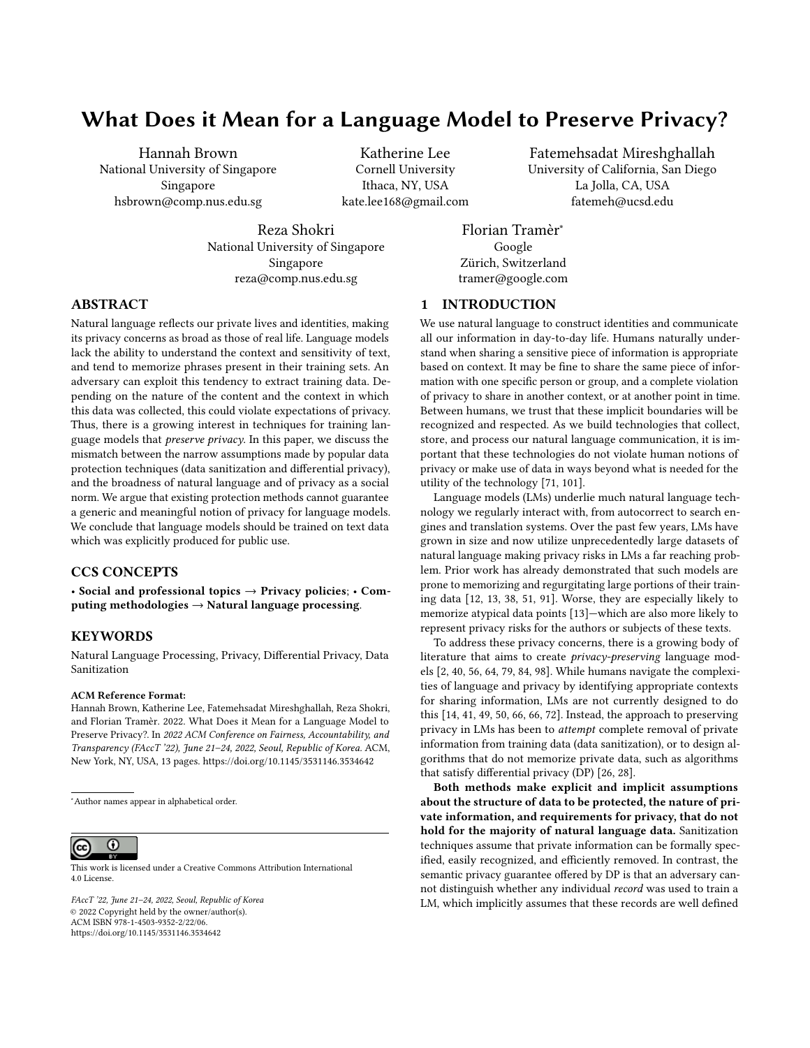<span id="page-3-0"></span>



(c) Alice's information is shared by Bob

Figure 2: Illustration of the difficulties in removing private information from a dataset. Private information indicated by orange arrows: (a) The original conversation, where Alice shares her private information with Bob. (b) The conversation with all of Alice's messages removed. Bob's last message still includes her private information. (c) The whole original conversation is removed. Conversation B still contains Alice's private information though she is not in the conversation.

overall distribution and structure of human language, yet do not memorize sensitive information. This can help to preserve some notions of privacy, and prevent the out-of-context exposure of training data to unauthorized users.

Existing techniques for building privacy-preserving language models fall into two broad classes: (1) data sanitization techniques that find pieces of private information in text and remove these before any further processing, and (2) differentially private training algorithms that mitigate the risks of memorization. Section [5](#page-6-0) dives deeper into these approaches, and argues that neither is adequate for creating language models that properly preserve users' privacy.

# <span id="page-3-1"></span>4 WHAT DOES PRESERVING PRIVACY IN LANGUAGE MODELING REQUIRE?

To claim a language model is privacy preserving, it must only reveal private information (aka "secrets") in the right contexts and to the right people. While this goal is easy to state, the definition is comprised of three parts, each of which is challenging to determine: (1) in what contexts a secret can be shared without violating privacy (2) what information is contained in the secret, and (3) which people know the secret (the "in-group").

Far too often, the standard for data protection extends only to not revealing information that harms an individual. Inference attacks, such as those described in Section [3,](#page-2-1) show the possibility of information leakage in language models. It is not enough to claim privacy is preserved because attacks are not able to extract information from a model. These attacks improve over time, so while a model that current attacks can extract only a small amount of data from is at low risk for privacy violation, this is insufficient for the claim that the model fully preserves privacy.

In this section, we illustrate the wide variety of forms private information may take, and how only by understanding context and following privacy norms, can we construct language models that fully preserve privacy. Finally, we discuss how humans approach decisions about when to reveal private information and draw parallels to language models and common privacy defenses. To motivate our main arguments, we provide illustrative examples of different types of personal information shared via natural language in Table [1.](#page-4-0) These examples cover four axes of variation:

- Some secrets (typically) follow a specific format (e.g., a credit card number), while others are embedded in prose.
- Secrets relate to (or are owned by) a single individual or multiple.
- Secrets are shared with a group (the "in-group") of one or more individuals.
- Individuals in the in-group may be allowed or prohibited from further sharing or discussing the secret among themselves either implicitly or explicitly (e.g., via legal restrictions).

#### <span id="page-3-2"></span>4.1 Secrets are contextual

Respecting privacy requires being aware of the context in which information is shared [\[24,](#page-10-20) [71\]](#page-11-0). Instead of simply not "memorizing" private information, humans keep information private through complex judgments of appropriateness dependent on conversational and socio-cultural context. These judgments require information beyond the text of a conversation, making it impossible for an observer, human or computer, to make these same judgments absent this context. Revealing a piece of information to some people may be fine, while it may be a slight violation of privacy to reveal it to a broader audience, and a more severe violation still to make it completely public. These perceptions of privacy are important when considering potentially private information in textual training data. The scope users mean to share their data in must be considered when deciding whether or not to use it in training.

4.1.1 Privacy is not a binary variable. Information that is readily shared in one context may be private in another. The counselor texting Bob to help him cope with his mental health crisis (Table [1\)](#page-4-0) may share details about his situation with other professionals or emergency services if there's reason to believe Bob poses a risk to himself or others, but is otherwise prohibited from sharing what Bob texts. A specific identifying piece of information such as a phone number would be considered sensitive if it belongs to a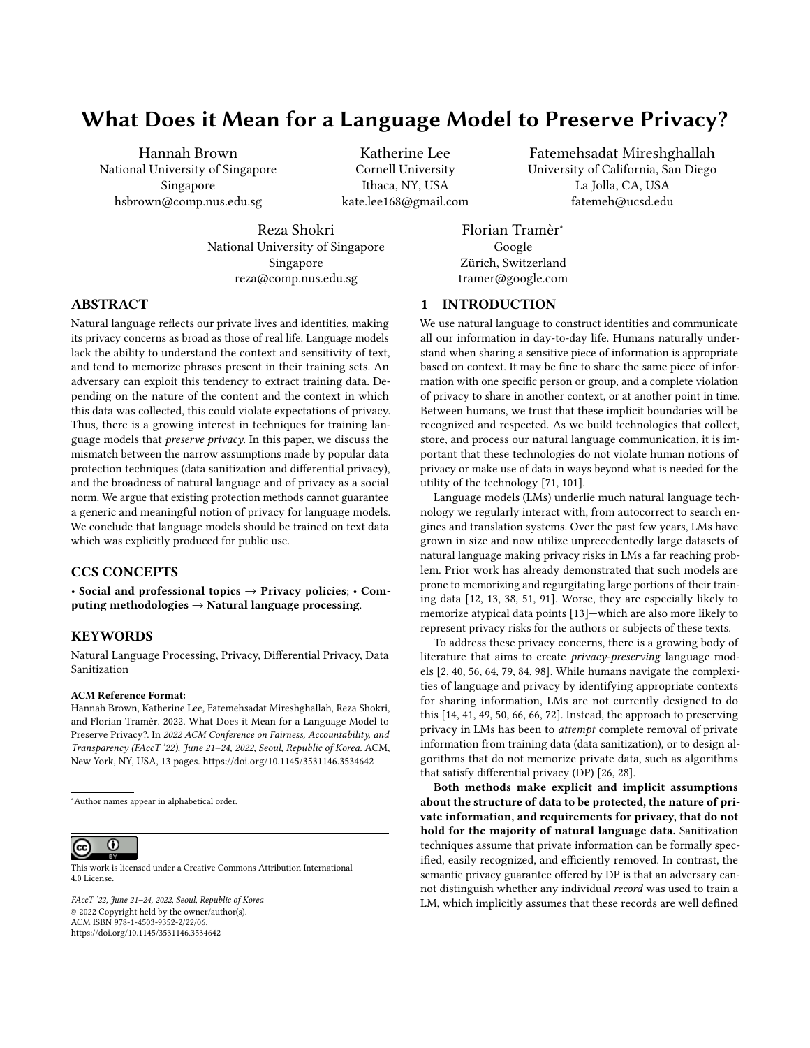What Does it Mean for a Language Model to Preserve Privacy? The Same Communication of Control of Korea Communication of Korea Communication of Korea

<span id="page-4-0"></span>Formatted Owners In-group In-group sharing Examples

| rormatted | <b>Owners</b> | In-group | in-group snaring | <b>Examples</b>                                                                                                                                                                                                |
|-----------|---------------|----------|------------------|----------------------------------------------------------------------------------------------------------------------------------------------------------------------------------------------------------------|
|           |               |          |                  | Personal password file, secret key                                                                                                                                                                             |
|           |               | >1       |                  | SSN, password, credit card sent to others                                                                                                                                                                      |
|           |               | $\infty$ | $\bullet$        | A developer posts their name, address, and phone number as contact infor-<br>mation on Github. Their personal information is "public" on the Web, but in<br>a well defined context.                            |
|           | >100          | >100     |                  | A company credit card is shared with employees.                                                                                                                                                                |
| O         |               |          |                  | Personal search history                                                                                                                                                                                        |
| O         | $\mathbf{1}$  | 3        | $\circ$          | Bob suffers a mental health crisis and texts a support hotline and his friend<br>Alice. The counselor replying may not disclose what Bob says to anyone else<br>unless it poses a danger to himself or others. |
|           |               | 3        |                  | An employee at Enron [48] shares their wife's social security number (who<br>is not part of the company) for the purpose of setting up insurance.                                                              |
| ∩         | $1 - 2$       | >1       | Ο                | Alice texts her friends Bob and Charlie about her divorce. Bob further texts<br>Charlie about the matter (c.f. Figure 2)                                                                                       |
| ∩         | >100          | >100     |                  | The Panama papers are discussed by 300 reporters for a year before being<br>publicly released.                                                                                                                 |

Table 1: Examples of private information, and the contexts in which they might be shared. A piece of private information is "owned" by one or more users (e.g., a credit card that belongs to one user vs. a company credit card that is shared by many). Private data can be shared within a group (the in-group) of variable size. Members of the in-group may be allowed or prohibited from further sharing or discussing the information with other members of the group. Private data can be "formatted" such as a social security number (SSN), or a credit card number, or be referenced in arbitrary prose.

private individual, and benign if it belongs to a public entity such as a company. More broadly, pieces of data can lie on a spectrum of privacy levels with different restrictions and expectations, between the two extremes of fully public (e.g., Wikipedia) or fully private (e.g., someone's search history).

Training a language model for public use on data that was not intended for that level of publicity violates the original privacy expectations of that data. Nissenbaum's contextual integrity [\[71\]](#page-11-0) provides a framework for disambiguating which contexts information can be shared under and with whom. Under contextual integrity, there are five features (the data subject, sender, recipient, information type, and transmission principle) such that if any one is modified, the expectation of privacy could change. In practice, this context could be indicated in the form of social cues and norms, or through regulations (such as Health Insurance Portability and Accountability Act (HIPAA) for medical data) or non-disclosure agreements for corporate information. Under this framework, privacy is violated when information is shared outside an acceptable context, which also allows some concept of different degrees of privacy violation [\[86\]](#page-12-11).

4.1.2 Language models do not understand context. In practice, building machine learning systems that are sufficiently aware of context to appropriately judge the privacy of a piece of information is challenging. Outside of privacy concerns, detecting implied context and reacting to it appropriately has been an active area of research for language models [\[95\]](#page-12-12). For example, work has been done to assess how appropriately chatbots respond to delicate situations, such as responding to sexual harassment [\[14\]](#page-10-4), discussions of suicidal intent or other mental health issues [\[66,](#page-11-8) [72\]](#page-11-9), and mentions of violence or

physical danger [\[49,](#page-11-6) [66\]](#page-11-8). The results were less than encouraging, with Nobles et al. [\[72\]](#page-11-9) finding that the majority of the time, chatbots responded in inappropriate ways in these situations, ranging from simply saying "can you repeat that" to giving actively harmful information. Another related line of work is context-aware, long-form, ethical and persona-based, response generation [\[43,](#page-10-22) [55,](#page-11-21) [60,](#page-11-22) [62\]](#page-11-23), where the chatbot or dialog system is supposed to hold a conversation with previous context taken into consideration [\[50\]](#page-11-7). This context could be the persona of the user, or previous conversations. Although this task has advanced in the past few years, the proposed models are plagued by the same challenges as the chatbots and the problem is far from solved [\[41\]](#page-10-5).

As another example, consider the case of Alice telling Bob about her divorce, as illustrated in Figure [2.](#page-3-0) Assuming we had a way to recognize that Alice's divorce is private information, we could remove Alice's message to Bob about her divorce. However, this still leaves two more messages referencing the same sensitive information. Bob's message to Charlie explicitly says that Alice is getting a divorce—obviously referring to the same secret. Bob's reply to Alice asking about the custody of her kids is more subtle. Understanding that this message is referring to the same sensitive information necessarily requires broader knowledge about the contexts in which asking about custody may occur, and more personalized knowledge about which context most likely applies to Alice. The content of Bob's message can thus be considered just as sensitive as Alice's original message, yet automatically identifying the sensitivity of Bob's message is much more challenging.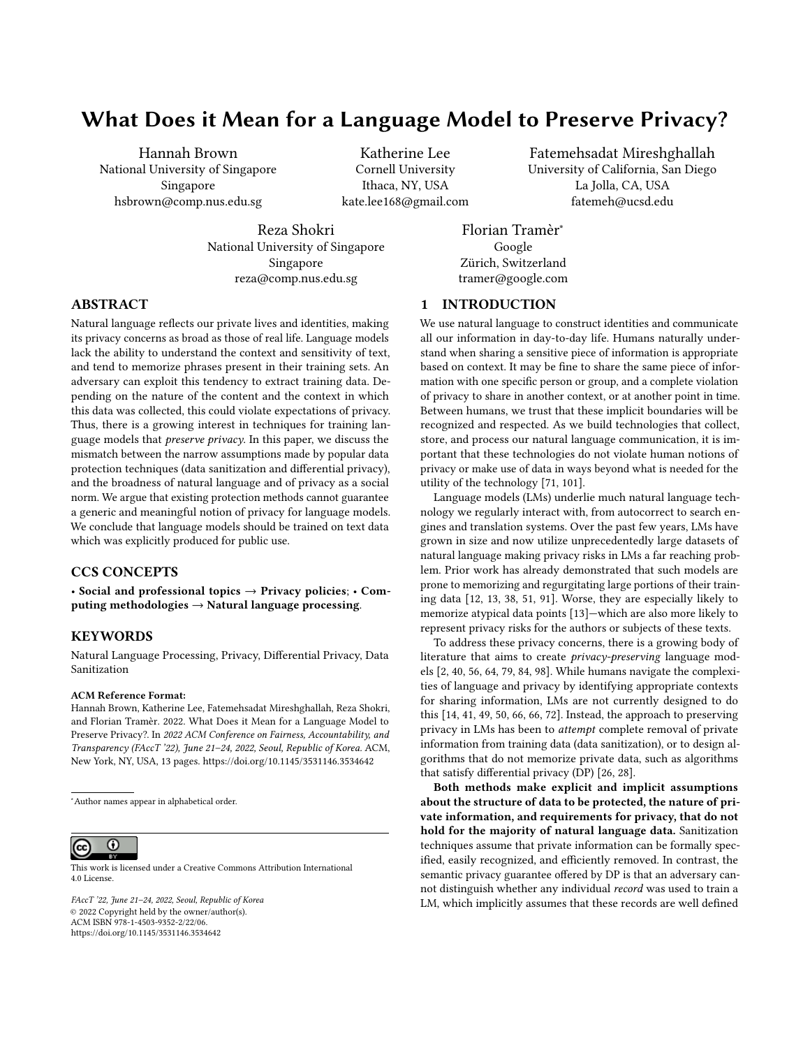## <span id="page-5-1"></span>4.2 Secrets are hard to identify

There are many ways of articulating the same point and additional phrasings can be added as language continues to evolve. Private information communicated through language is no different. This can make it difficult to identify whether a piece of text corresponds to private information.

4.2.1 Form and Meaning: There are many ways to communicate any piece of information. Even private information that has an ascribed format (phone numbers, email addresses, credit card numbers, etc.) can appear in multiple forms. For example, numbers and symbols can be spelled out and content can be alluded to, eg: first initial last name at gmail dot com. Synonyms for words can be used, changing the appearance of text but not the meaning. Anaphoric and cataphoric references<sup>[2](#page-5-0)</sup> present a further challenge to recognizing private information. If Bob were to instead say "Did you hear she's getting a divorce?" to refer to Alice in Figure [2,](#page-3-0) that information would still be just as private and involve Alice just as much, but it is harder to automatically recognize.

Format-free pieces of private information, such as those referenced in Table [1](#page-4-0) are even more difficult to identify and delineate. Figure [2](#page-3-0) shows how drawing a boundary around the text that references a given secret can be difficult. If Alice's divorce is sensitive information, then should mention of her custody battle be as well? What about future conversations where Alice is referred to as "single"? Imbuing a language model with enough societal context and awareness to recognize these connections appears challenging.

4.2.2 Repeated information can still be private information. Stating the same private information time and again does not make it less private. One example is a company credit card number. This number might be shared again and again within the company, but it remains private to people outside the company. Consider also the case of the Panama papers (Table [1\)](#page-4-0) which contained leaked legal and financial documents detailing how shell companies were created for illegal ends, like tax evasion. Even though 300 journalists exchanged conversation about the Panama papers over the course of a year, the topic of these conversations is no less sensitive. If a language model had been trained on the journalists' emails, the topic of the investigation (or individual names of suspects or sources) could have been memorized and leaked. De-duplicating the training dataset would not necessarily reduce the likelihood of this information from being learned, as the examples in the dataset are not necessarily near or exact duplicates of each other, but just happen to reference the same broad sensitive topic. Respecting privacy in this case again requires both the ability to recognize the private information and to gather all training data items that refer to this private information.

4.2.3 Language evolves, and so does private information. Changes in language or in social norms can shift the way in which people talk about secrets (or whether something is considered secret or not). For example, the word 'queer' was reclaimed by some members of the LGBTQ community beginning in the 1990s as part of the gay rights movement. A system that aims to automatically detect sensitive pieces of text would thus have to be aware of such shifts in linguistic meanings. Yet, changes in language can be swift, in particular on social media [\[29,](#page-10-23) [82\]](#page-11-24) where movements, such as #MeToo or Black Lives Matter, can quickly and radically shift the meaning of words and phrases. Additionally, to evade automated censorship and demonetization methods that target specific keywords and phrases, specific topics are routinely re-represented with new words and phrases [\[39,](#page-10-24) [47,](#page-10-25) [90\]](#page-12-13).

Beyond the evolution of language, secrets can also evolve. For example, while much of the content of the Panama papers investigation was highly sensitive and confidential during the investigation, the findings were then made public. At the same time, the identities of the journalists' sources should remain secret essentially forever.

While languages and secrets naturally evolve, language models are typically trained once on a static dataset. Over time, these datasets, and thus the language models trained on them, become less useful for understanding current language. In Section [5,](#page-6-0) we further explore how the use of static datasets can present a challenge for privacy enhancing techniques such as data sanitization (Section [5.1\)](#page-6-1).

## 4.3 In-groups are hard to identify

Just like finding the borders of a secret is ill-posed, identifying the group of users who are privy to a secret (the in-group) is equally challenging. Individual text fragments can contain information pertaining to many individuals or organizations at once. The decision of whether to share the secret with a given individual varies from secret to secret, thus the in-group for each secret in different contexts is different. Indeed, just like the secret itself, the in-group can change and grow as relationships continue to evolve in the real world. Thus, even setting a reasonable bound on the size of the in-group for each secret can be difficult. As we discuss in Section [5.2,](#page-7-0) the lack of such a bound poses a particular challenge for articulating meaningful guarantees with differential privacy.

4.3.1 Secrets can involve or be shared among many people. Natural language is meant to be shared. We use language to articulate and communicate our thoughts and our observations. At times, these thoughts and observations can also be about other people. Yet, many approaches to data privacy—in particular differential privacy implicitly or explicitly assume that a user's private information does not transcend the user's own data (i.e., the user can protect their privacy simply by not sharing their own data). This assumption can be clearly violated in a variety of natural ways in which humans exchange textual information.

Consider the example described in Table [1](#page-4-0) of an employee who sends their wife's SSN to another employee. We found an example of exactly this an email from the Enron corpus [\[48\]](#page-10-21). While the employee's wife might "own" her SSN, it appears in the corpus of text written by the employee. Typically, nothing prevents one user from sharing another person's private information (such sharing could be legally prohibited, or violate social trust, but these consequences do not mean sharing cannot occur). Thus it can be difficult to define a sole "owner" of a piece of private information.

Social media whisper networks, like those discussed in [\[36\]](#page-10-26) are another example, as they are almost exclusively devoted to sharing private information about people not in the network. In this

<span id="page-5-0"></span> $\rm ^2Using$  a word/phrase to refer to a named entity that is named earlier or later (respectively) in a conversation. In the case of anaphoric references, this entity may also have been defined in a prior interaction.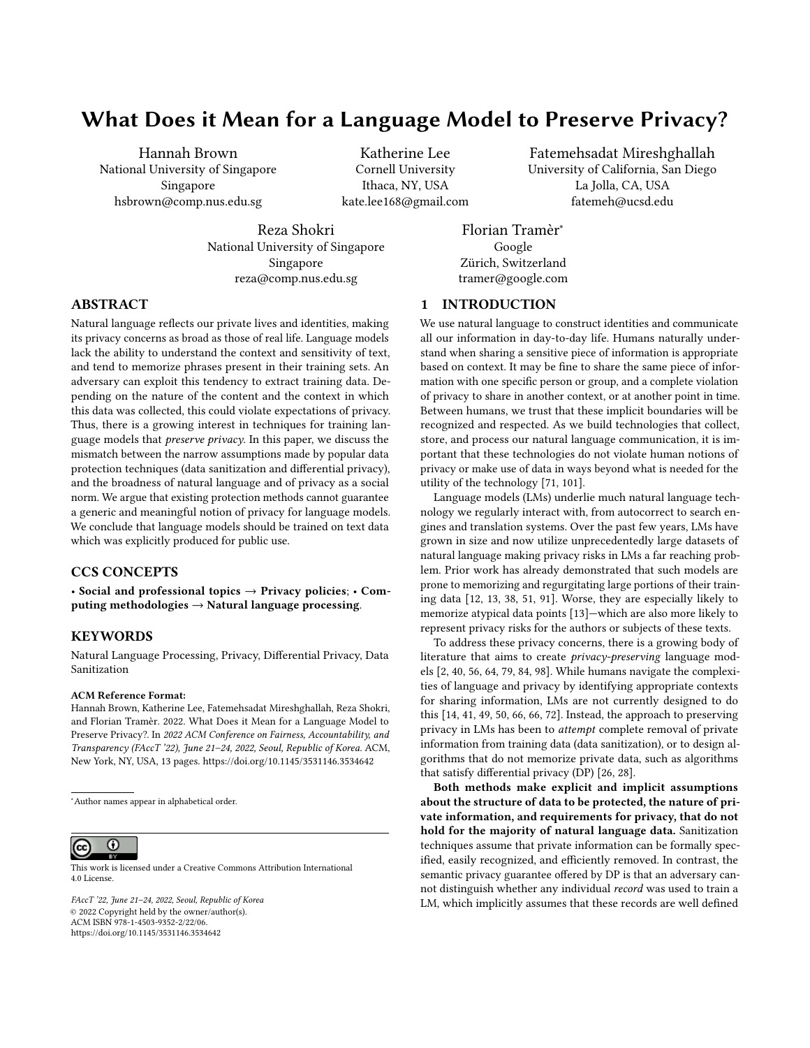case, private information about a person outside of the network is shared, and, complicating things, the collective information about this person could come from hundreds of people's conversation data. This is also common in Web-scraped datasets [\[76,](#page-11-25) [78\]](#page-11-26) that are commonly used in training large language models [\[22\]](#page-10-27) where it is typically impossible to unambiguously map pieces of information to specific "owners". Another high-profile example is in the shadow profiles Facebook created of individuals who did not have Facebook accounts. Without any personally volunteered data, Facebook was able to classify enough data to attribute it to an individual, demonstrating the privacy risks of allowing access to this kind of data.

4.3.2 In-groups have no clear upper-bound. For any individual secret, we could attempt to identify the in-group of people who know the secret. Given such knowledge, we could attempt to remove all mentions of the secret from the entire group. Alternatively, it could be tempting to provide privacy guarantees that are (inversely) proportional to the size of this group (e.g., as in differential privacy), following the intuition that information that has been shared many times is less sensitive than information that has been shared more rarely.

Yet this intuition fails to hold in regard to some of the examples listed in Table [1,](#page-4-0) and there is no one number k where a piece of information shared with  $\geq k$  users can reasonably be assumed to be "non-sensitive". One individual might share their closest secrets with a handful of friends or family members in a group chat, or with a broader audience in a support group forum or on their (private) social media page. Companies and governments routinely share sensitive information with hundreds or thousands of employees. And more than 300 journalists communicated in secret for over a year before disclosing their findings in the Panama papers [\[42\]](#page-10-28). All this information is definitely private, but within specific contexts may be shared with a potentially large group of individuals.

#### 4.4 Human notions of privacy

In contrast with common ML privacy preserving mechanisms which focus on preventing models from memorizing private information, humans very clearly memorize sensitive information that they learn. Unlike LMs, we use learned conversational rules to gauge how appropriate or polite something is to share in a given context. One of the simplest proposed sets of rules explaining how we speak—Grice's Maxims—are a set of four rules (together comprising the Cooperative Principle of Conversation) that describe "normal" conversation [\[35\]](#page-10-29). Of these maxims, the ones we use to keep private information to ourselves are "quantity" (say exactly the amount appropriate in a given context) and "relevance" (say only what is relevant to the current context). These maxims are easy to state but heavily context dependent, making them difficult to operationalize for technology.

Other conversational frameworks (e.g., politeness theory or relevance theory [\[10,](#page-10-30) [89\]](#page-12-14)) also rely heavily on context, making their application to NLP systems challenging. At a minimum, these frameworks require prior knowledge about the people involved in the conversation, the socio-cultural context, and past conversations sometimes with people not involved in the current interaction, who may not have contributed to the same dataset themselves. Given

only text data, and none of this further information, it is often impossible to gather all the context necessary to judge what will violate someone's privacy. Furthering the idea that people memorize often and use preserve privacy in other ways, work in psychology has shown that we are mosft likely to remember information that is either very in line with what we have seen before or very different from what we've seen before [\[34\]](#page-10-31). For example, when told a piece of surprising information we know is supposed to be kept secret, we are likely to remember the information, but choose to not share it.

In summary, humans respect privacy in natural language not by failing to memorize secrets, but by forming a judgment on whether any given piece of information is appropriate, or not, to share with a given party in a given context (unless they share it by mistake, or, by malice, intentionally). Applying a similar approach to language models would require an intrinsic understanding of language and social contexts that goes beyond the capabilities of existing methods, as described in the next section.

## <span id="page-6-0"></span>5 A CRITICAL ANALYSIS OF PRIVACY TECHNOLOGIES FOR LANGUAGE MODELS

Natural language processing algorithms that aim to respect privacy either remove private information from the data (through text sanitization [\[3,](#page-9-1) [19,](#page-10-32) [57,](#page-11-27) [73\]](#page-11-28)), or design learning algorithms that mitigate the risks of information leakage by not memorizing private information (through differentially private learning [\[1,](#page-9-2) [15,](#page-10-33) [28,](#page-10-7) [64\]](#page-11-3)). In this section, we evaluate the claims of these protection methods about preserving privacy, in the context of language data. Our approach is to lay out the assumptions that data sanitization and differential privacy (DP) make (either implicitly or explicitly). Then, we discuss how awareness of context, difficulty determining the borders of a secret and attributing it to individuals, and other privacy nuances (as extensively discussed in Section [4\)](#page-3-1), can invalidate these assumptions. We discuss the kinds of privacy violations that each method would or would not protect against, and highlight that, given any specific definition for data, data protection is not equivalent to privacy protection. They do overlap in many cases where a unit of data contains all the private information about an individual. So, by removing it or not memorizing it (i.e., protecting it from being inferred), we protect the individual's privacy. However, in general, privacy is much broader than data protection, and this is very notably the case in natural language.

#### <span id="page-6-1"></span>5.1 Data sanitization

Data sanitization claims to preserve privacy by removing private information. The critical assumptions are that it is possible to formally specify private information, and to design efficient algorithms to identify and remove private information according to the provided specifications. We evaluate how realistic these assumptions are, and question if data sanitization can preserve privacy in any meaningful way.

Based on the foundations of privacy in Section [4,](#page-3-1) we argue that private information expressed in text is difficult to specify and identify, and its removal (according to a given specification) is insufficient to preserve privacy in many situations. Text data can be written in many forms, and the borders of private information are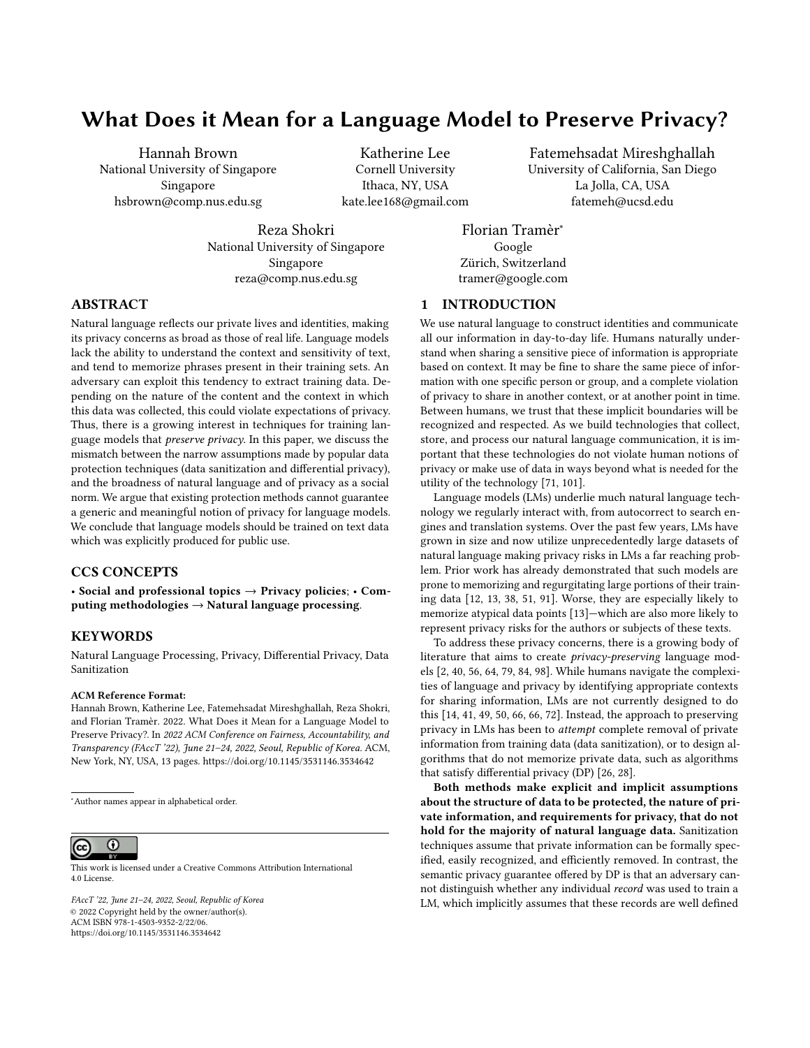indeterminate. This significantly narrows the application of data sanitization to limited cases where the secret is written according to a context-independent template (e.g., phone number written as consecutive digits).

5.1.1 Sanitization is insu icient because private information is context dependent, not identifiable, and not discrete. Most data sanitization methods are algorithms that use parsers and classification models to tag each word in an input text either based on defined patterns or already tagged data (where sensitive words are manually identified). These techniques work best for identifying wellformatted private information, such as social security numbers, and specific forms of medical note datasets [\[19,](#page-10-32) [44,](#page-10-34) [57,](#page-11-27) [92\]](#page-12-15). However, as we discuss in Section [4.2,](#page-5-1) even well-defined information can be written in many formats or alluded to indirectly. For example, identifying the social security number "the first 2 digits are two two, and the remaining ones are three ..." is much more challenging than identifying "223 $\cdots$ ". So, even in cases where specifying private information is possible, their reliable identification might be very hard.

Further, identifying and removing non-specific private information, such as the case of Alice's divorce, or the entire discussion around the Panama papers, is significantly more challenging (if not impossible) for data sanitization schemes (which are based on classification models). In general, secrets have no borders, and identifying the scope of relevant information is beyond the capability of taggers and parsers. Besides, understanding sensitivity requires inferring the context, which is a very hard task for algorithms. First, there is no formal way to define context, and supervised machine learning models are nonrigorous, empirically inaccurate, and non-explainable methods to classify sensitive information. Second, the context related to a piece of text might not be present within the text, which makes understanding the context impossible even for humans. Third, taggers and parsers require defining ahead of time what the "sensitive" categories are, limiting what information might be related to other sensitive information. Knowing that Alice's custody battle is sensitive requires understanding that there would be no battle if there were no divorce and requires cultural context (Section [4.1\)](#page-3-2) that is beyond (current) algorithms. Fourth, context may change after data redaction, consequently changing the sensitivity of text, meaning any claim for data privacy based on sanitization is always outdated.

Changing the context of a piece of information can increase or decrease expectations to privacy. Bob may have a relatively small expectation of privacy when he makes a public social media post, but very high expectations when texting a crisis counselor. In this context, the act of sharing any data at all<sup>[3](#page-7-1)</sup> would be considered a privacy violation. Data sanitization completely ignores this, as it assumes information to be discrete and treats privacy as a binary variable. This problem resembles the numerous failed attempts for anonymizing high-dimensional data by removing certain attributes [\[31,](#page-10-35) [68\]](#page-11-29). In the context of language data (with enormous number of dimensions), there is always a possibility of inferring sensitive information even if many pieces of text are redacted. This

means that it is possible that either we fail to achieve an acceptable level of privacy through sanitization, or a hypothetically privacypreserving data sanitization might result in removing almost all the text, rendering it useless: "sanitized data isn't".[4](#page-7-2)

5.1.2 Data sanitization is useful in very limited cases. We argue that it is not possible to claim privacy using data sanitization algorithms: there is not a specification that would allow private information to be redacted from free-form text data because private text data is not easily identifiable and requires additional context to determine if the information should be redacted. However, data sanitization is a useful obfuscation method in the cases where pieces of context-independent, well-defined, static private information are to be removed from a text dataset.

Data sanitization is currently widely adopted across industries as a data pre-processing step for removing personally identifiable information (PII) or protected health information (PHI) by companies such as Microsoft, Paypal and Mastercard [\[4–](#page-9-3)[6,](#page-10-36) [23,](#page-10-37) [32,](#page-10-38) [96,](#page-12-16) [96\]](#page-12-16) and numerous start-ups (SkyFlow, Ground Labs, PII tools, MailTumble, etc.). Data sanitization can remove some specified information, and can help to reduce the privacy risks to some (unknown) extent. However, it cannot claim that it preserves privacy of individuals, as it has no formal definition for privacy which remains meaningful in the context of language data.

#### <span id="page-7-0"></span>5.2 Differential Privacy

Differential privacy (DP) is a data protection measure designed to assure users that contributing their data to a dataset will not reveal much additional information about the user when the result of a DP algorithm trained on the dataset is released. Put another way, the data protection guarantee offered by DP is that an adversary cannot easily distinguish whether any individual record was used in the computation:

<span id="page-7-3"></span>DEFINITION 1. -Differential Privacy [\[28\]](#page-10-7). For a privacy loss parameter  $\geq 0$ , a training algorithm A satisfies -DP if and only if for any pair of training datasets D and D' that differ in only one record,<br>and any set of output models  $S: Pr[A(D) \in S] \leq e^{S} Pr[A(D') \in S]$ and any set of output models  $S: Pr[A(D) \in S] \leq e^{\epsilon} Pr[A(D') \in S]$ .

While many applications benefit from this protection, we argue that language data cannot be partitioned to ensure that algorithms trained with DP meet the standard of privacy we put forth in Section [4:](#page-3-1) to only emit private information to appropriate people in appropriate contexts. This is because sensitive language data, as we have seen, cannot necessarily be attributed to one individual or group, whether or not their data is included in the dataset. Thus, while applications of some DP algorithms likely alleviate risks to privacy, they alone are insufficient for guaranteeing the absence of privacy violations in language models.

5.2.1 Di erential privacy requires a unified definition for secret boundaries, which is very hard if not impossible to achieve for language data. The data protection guarantees of DP hold for any dataset D, and any content of the sensitive record. Thus, compared with data sanitization approaches, DP sidesteps the issue of determining the context or content of private data by providing a worst-case guarantee that applies to any data record. This enables

<span id="page-7-1"></span><sup>&</sup>lt;sup>3</sup>The prominent text helpline, the Crisis Text Line, recently admitted to doing exactly this for the purposes of helping a for-profit company train machine learning models to improve customer service [\[53,](#page-11-30) [75\]](#page-11-31).

<span id="page-7-2"></span><sup>4</sup>C.f., "Anonymized data isn't" – Cynthia Dwork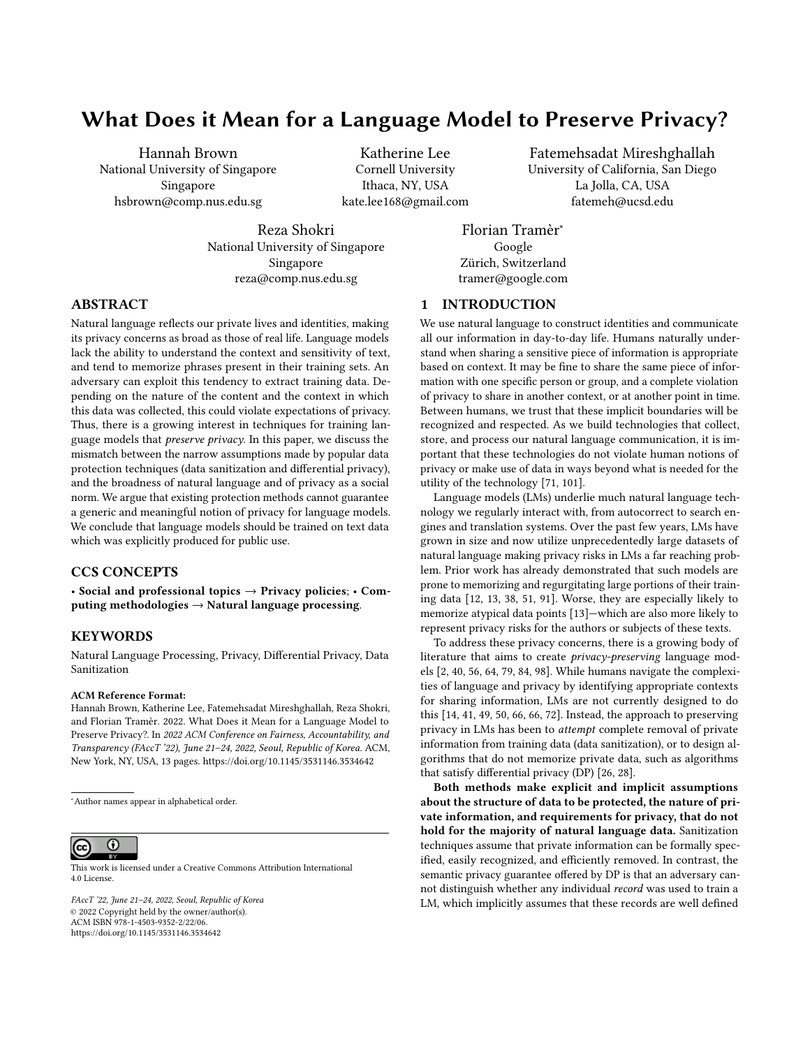applying DP algorithms in any setting where privacy is considered protected as long as each data record is protected.

However, the main issue with applying DP to language data arises in how we define the boundaries of private information. That is, how should we define what constitutes a data "record" in Definition [1.](#page-7-3) Prior work has considered various granularities, from individual tokens or words, to sentences and documents, or all of a user's data [\[54,](#page-11-32) [64\]](#page-11-3).

Identifying data records with individual words or sentences makes sense from a machine learning perspective, since training batches are often split at such a granularity. But the corresponding privacy guarantees are mostly inadequate since the removal of any individual word or sentence from the training data is insufficient to hide most types of private information (except maybe a password or SSN that falls inside a single data record). It is thus much more appropriate to define DP with respect to all of a user's data. Indeed, "user-level" DP is the way in which the original DP definition is intended to be interpreted [\[28\]](#page-10-7). In the context of language data, a user-level DP guarantee says that the trained model will be insensitive to the addition or removal of all the data written by any individual user. Yet, if we consider the examples in Table [1,](#page-4-0) it is clear that many types of private information cannot be erased from a dataset by the removal of a single user (even after assuming that a "user" in the system/network is associated with a unique "individual"). Indeed, text is a means of communicating information with others. Thus, removing all of a user's messages is not sufficient to remove the private information from the training set, since others might reference the same information.<sup>[5](#page-8-0)</sup>

5.2.2 Protecting a specific unit of data is not the same as protecting privacy. The issue we highlight above is that private information can span data provided by multiple individuals. It is important to note, however, that the formal guarantees of DP hold regardless of such relationships in the dataset D. What is questioned here is what these data protection guarantees mean, semantically, for the protection of users' privacy. Differential privacy can protect privacy to the extent that withholding one user's data from the dataset can. Thus, it is useful for specific types of structured data, for example, when each individual contributes a record that contains sensitive attributes about them (e.g., whether they have been diagnosed with a particular disease). Or alternatively, when a user's secrets are indeed restricted solely to text written by that user (e.g., an individual's search history). These protections, however, cannot satisfy the full privacy expectations we discussed in Section [4](#page-3-1) regarding natural language data, where private information is not bounded by data records (and can even be about individuals who do not contribute any data), and there may be overlap between snippets of text covering different pieces of private information. So, withholding any specific unit of data from the dataset cannot guarantee protection of privacy.

5.2.3 The need for privacy does not diminish with in-group size. The protection guarantees of DP for groups of users diminish exponentially as the size of the group increases  $(k$  -DP for groups of size k). However, in practice, information that is shared among more individuals is not necessarily less sensitive. The sensitivity depends on the context and the reasons why the data provided by  $k$  individuals contains the same private information. Moreover, appropriately bounding the size  $k$  of a group that is privy to a secret is also hard. For example, a community of individuals might share secrets at the level of the whole community, which DP does not provide any strong protection guarantees for.

5.2.4 On privacy guarantees and promises. Ideally, we would like to achieve "secret-level" differential privacy, wherein, the algorithm is insensitive to addition or removal of any piece of private information (e.g., Alice's divorce, or a company's secret). But satisfying such a definition would require a precise understanding of the context and boundaries of secrets, which is exactly a difficulty that DP aims to avoid. The privacy guarantees provided by a typical instatiation of user-level DP are hard to match to this ideal. While some pieces of information enjoy strong formal protection guarantees from being definitely contained in one user's data (e.g., text in a user's personal search history), others are only protected at an exponentially small level (e.g., sensitive information shared among a large group).

This does not mean that information leakage is unbounded. In practice, the provable guarantees offered by DP algorithms are often estimated to be rather loose (i.e., the true leakage is less than what we can mathematically compute) [\[18,](#page-10-39) [70,](#page-11-33) [79\]](#page-11-4). Yet, the main premise of DP is precisely that it provides provable guarantees, compared to the ad-hoc heuristic guarantees of many other privacy preserving techniques. These strong guarantees have at times been interpreted as a "promise" to users [\[27\]](#page-10-40), that their secrets will be protected regardless of their decision to share their data. As we have seen however, in the context of language data, this promise loses most of its meaning. We then ask whether the formal underpinnings of DP necessarily make it the privacy notion of choice for training LMs, or whether other approaches could provide more semantically meaningful (albeit possibly only heuristic) forms of privacy protection.

## 6 SUMMARY AND DISCUSSION

Underlying all the challenges of training language models that understand and respect privacy is the complexity of human privacy norms. The vast literature attempting to define privacy and provide frameworks for assessing and understanding it demonstrates the nuance required to disambiguate between what might be similar scenarios. Private information can take many forms, continuously change, and be shared by and among groups whose members fluctuate according to changes in human relationships. In summary, the boundaries of what data should be acceptable to use for a socalled "privacy preserving" language model are inherently fuzzy and context dependent.

These challenges limit the applicability of existing techniques like data sanitization and differential privacy (Section [5\)](#page-6-0). Yet, these privacy-enhancing techniques are often presented as providing users with certain guarantees of privacy, which are

<span id="page-8-0"></span><sup>5</sup>One could expand "user data" to encompass all conversations that a user has participated in (including all replies they received), as in Figure [2c.](#page-3-0) First, satisfying such a level of DP is technically more challenging in decentralized settings (e.g., in Federated Learning [\[64\]](#page-11-3)) since a data record now spans multiple participants (network users). Second, such an increased granularity remains insufficient to protect knowledge of Alice's divorce (Table [1\)](#page-4-0) if this secret is further referenced in other conversations (such as between Bob and Charlie in Figure [2c\)](#page-3-0).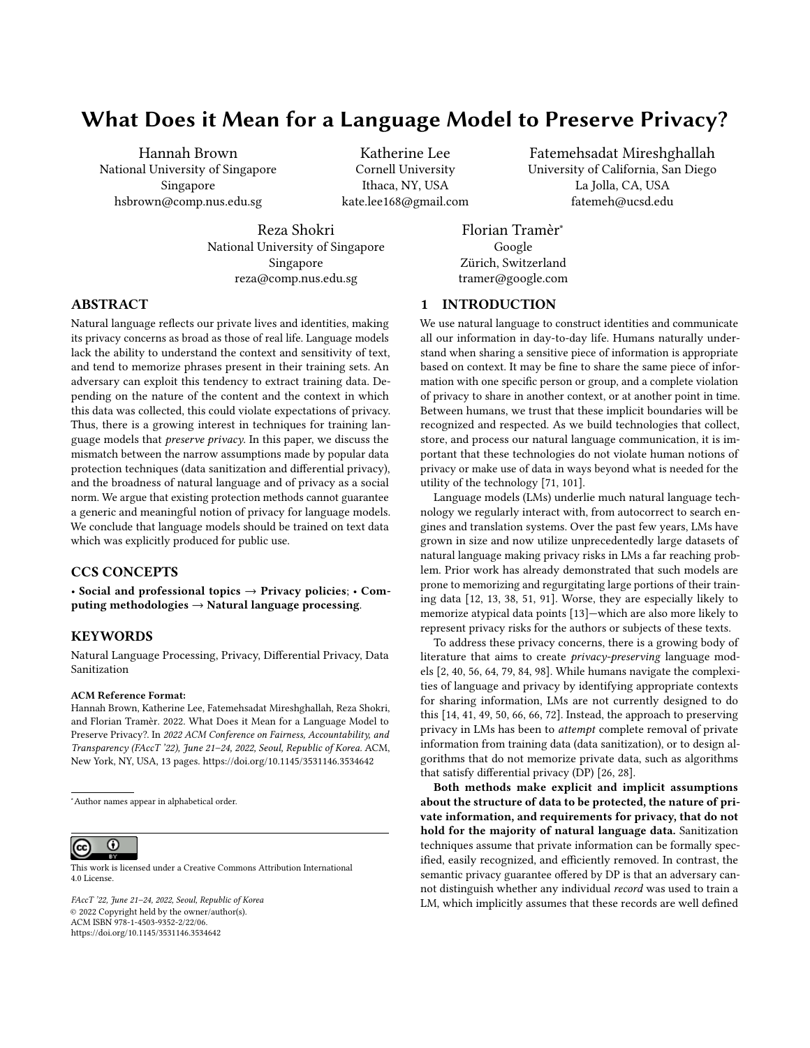not meaningful enough given their assumptions about what constitutes private information. It is true that, from the individual user's perspective, the application of any obfuscation technique can only benefit privacy, compared to not applying them (e.g, training a model with DP is better than training that model without DP). Yet, when applying privacy-preserving techniques to the collection of new forms of data (as for training LMs on all types of text regarding every aspect of our lives), we need more realistic and rigorous privacy guarantees.

What alternatives do we have? One might argue that models trained solely on publicly available data, such as text scraped from the Web, alleviate privacy concerns. And indeed, this is the approach taken by many recent large LMs [\[8,](#page-10-41) [11,](#page-10-11) [77,](#page-11-34) [78\]](#page-11-26). Yet, publicly accessible does not mean public-intended: publicly shared data typically comes with an intended context of use, which language models could violate by memorizing data [\[13\]](#page-10-1). Furthermore, the lack of public discourse and understanding around what happens with collected text data makes informed consent difficult to collect. Ideally, we want LMs to be trained solely on data that is intended (or allowed) for public dissemination. In addition, such LMs could be further fine-tuned or personalized locally on a user's non-public data, only if the model is going to be used by the same user. But disentangling data that is intended for public use, and obtaining appropriate user consent for its use remains challenging. We discuss these issues in more detail below.

6.0.1 Publicly accessible data is not public-intended. Data that is publicly accessible (e.g., on the Web) is not necessarily intended for unfettered public dissemination, and its use in LMs could still pose privacy risks. For example, publicly available data might not be released by the data subject, such as leaked or subpoenaed email datasets [\[33,](#page-10-42) [48\]](#page-10-21), copy/pasting conversations to distribute, or doxing an individual. Posts on social media can also sometimes be made public inadvertently [\[63,](#page-11-35) [93\]](#page-12-17). Furthermore, online text can be deleted or modified. A language model trained on earlier versions of such data would thus inadvertently serve as a data archive. Finally, models trained on Web data might also surface new unintended ways for this public data to be searchable. The example given in Table [1](#page-4-0) where an individual posted their contact information on their Github is an actual example of training data extracted from a LM [\[13\]](#page-10-1).

6.0.2 Can users provide informed consent? Mostly not. Suppose that we asked users to opt-in to having parts or all of their data used out of context to train a language model. For example, one mobile chat client might tell users that it will deploy privacy-preserving LM training on their chat messages, and users and their friends can decide to use the service, or not. Moreover, users might even have the option of flagging individual messages as acceptable for use in training or not. We argue that even if such a consent mechanism were to exist, it would be challenging for users to reach an informed decision about the consequences of their actions.

To start, even experts on ML privacy currently only have a partial understanding of the risks of data memorization and extraction (Section [3\)](#page-2-1), and about how well various defense mechanisms perform. As we argue in Section [5.2,](#page-7-0) even principled approaches such as differential privacy cannot provide privacy guarantees that are directly interoperable with privacy expectations users might have for

their text data. Moreover, individual users cannot properly consent to providing their sensitive information, since they are often not the only person holding that information. As we have illustrated in Section [5.2](#page-7-0) and Table [1,](#page-4-0) sensitive information is routinely shared among many users, all of which would have to jointly consent to release or withhold that piece of data. Put differently, the responsibility to share or hide private information always lies with the entire group that has knowledge of the information. Without understanding how their data will be stored, processed, and disseminated, people are unable to give informed consent.

6.0.3 Private personalization. One approach that we view as a promising middle ground, and worthy of further exploration, is the development of LMs that are trained exclusively on data that is explicitly intended for public use, and further fine-tuned (or personalized) on users' local (private) data. As long as the model is only used in the local context of the user, the main privacy risks to the user would be alleviated.

## 7 CONCLUSIONS

Our entire life is mediated through language, much of which is monitored and processed by technology. No discussion of privacy is complete without a deep analysis of how language data is handled. In this paper, we call for a rigorous understanding of privacy expectations, and for meaningful guarantees of privacy, in the context of language data. We highlight that data protection (with all its limitations) is not equivalent to privacy, existing so-called privacy-preserving methods do not provide reliable assurance about privacy, and users are not in a position to give consent for their data to be used for arbitrary computations. We argue that the only truly privacy preserving solution is to rely exclusively on data that is intended to be public.

#### ACKNOWLEDGMENTS

The authors would like to thank our anonymous reviewers, David Mimno, Nicholas Carlini, Helen Nissenbaum, Vitaly Shmatikov, Noah Fiedel, Greg Yauney, Maria Antoniak, Federica Bologna, and Martin Strobel for discussions about different parts of this paper. This work was supported by the NUS Presidential Young Professorship research fund, the NUS Early Career Research Award (NUS ECRA), Award number NUS ECRA FY19 P16, and the VMWare Early Career Faculty award.

#### **REFERENCES**

- <span id="page-9-2"></span>[1] Martin Abadi, Andy Chu, Ian Goodfellow, H Brendan McMahan, Ilya Mironov, Kunal Talwar, and Li Zhang. 2016. Deep learning with differential privacy. In Proceedings of the 2016 ACM SIGSAC conference on computer and communications security. ACM, Vienna, Austria, 308–318.
- <span id="page-9-0"></span>[2] Rohan Anil, Badih Ghazi, Vineet Gupta, Ravi Kumar, and Pasin Manurangsi. 2021. Large-scale differentially private BERT. arXiv preprint arXiv:2108.01624 abs/2108.01624 (2021).
- <span id="page-9-1"></span>[3] Tuomas Aura, Thomas A Kuhn, and Michael Roe. 2006. Scanning electronic documents for personally identifiable information. In Proceedings of the 5th ACM workshop on Privacy in electronic society. ACM, New York, NY, United States,  $41 - 50.$
- <span id="page-9-3"></span>[4] Joseph Austin, Shahir Kassam-Adams, Jason A LaBonte, and Paul J Bayless. 2019. Self-contained system for de-identifying unstructured data in healthcare records. US Patent App. 16/255,443.
- [5] Andreas Balzer, David Mowatt, and Muiris Woulfe. 2020. Obfuscating information related to personally identifiable information (PII). US Patent 10,839,104.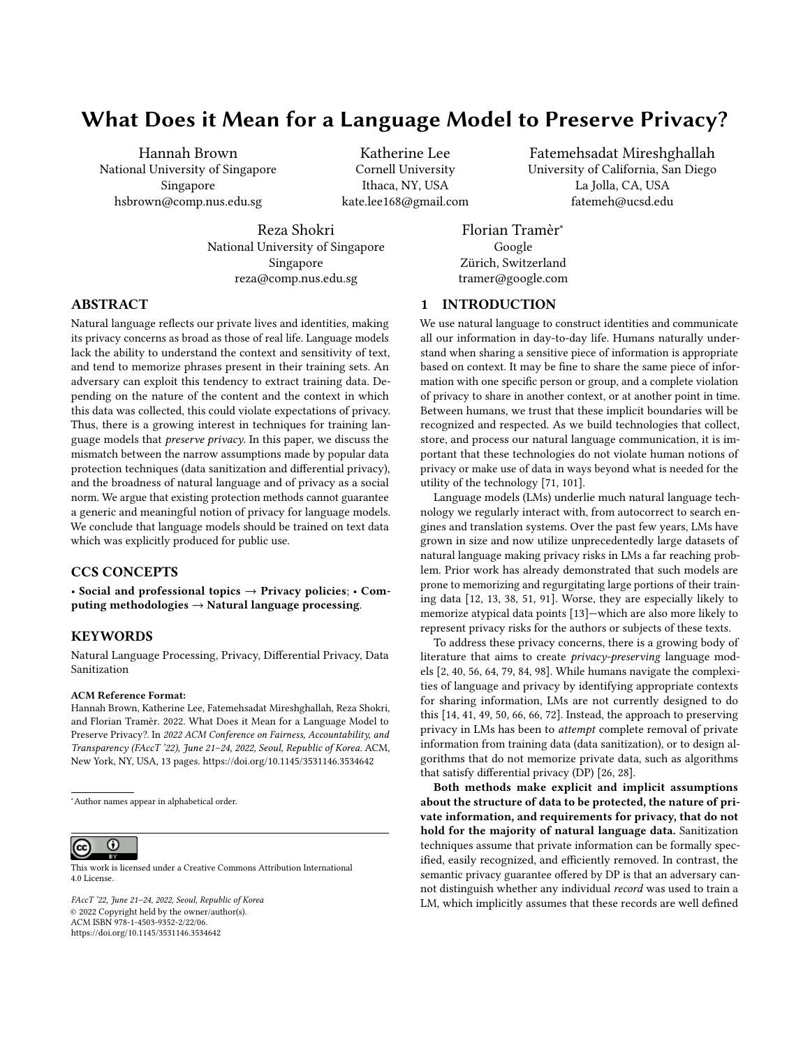What Does it Mean for a Language Model to Preserve Privacy? The Same Communication of Control of Korea Communication of Korea

- <span id="page-10-36"></span>[6] Andreas Balzer, David Mowatt, and Muiris Woulfe. 2021. Protecting personally identifiable information (PII) using tagging and persistence of PII. US Patent 10,885,225.
- <span id="page-10-14"></span>[7] Emily M Bender, Timnit Gebru, Angelina McMillan-Major, and Shmargaret Shmitchell. 2021. On the Dangers of Stochastic Parrots: Can Language Models Be Too Big? \. In Proceedings of the 2021 ACM Conference on Fairness, Accountability, and Transparency. ACM, Online, 610–623.
- <span id="page-10-41"></span>[8] Sid Black, Leo Gao, Phil Wang, Connor Leahy, and Stella Biderman. 2021. GPT-Neo: Large Scale Autoregressive Language Modeling with Mesh-Tensorflow. https://doi.org/10.5281/zenodo.5297715 10.5281/zenodo.5297715 (2021). [https:](https://doi.org/10.5281/zenodo.5297715) [//doi.org/10.5281/zenodo.5297715](https://doi.org/10.5281/zenodo.5297715)
- <span id="page-10-12"></span>[9] Samuel Bowman, Gabor Angeli, Christopher Potts, and Christopher D Manning. 2015. A large annotated corpus for learning natural language inference. In Proceedings of the 2015 Conference on Empirical Methods in Natural Language Processing. ACL, Lisbon, Portugal, 632–642.
- <span id="page-10-30"></span>[10] Penelope Brown, Stephen C Levinson, and Stephen C Levinson. 1987. Politeness: Some universals in language usage. Vol. 4. Cambridge university press, Cambridge, United Kingdom.
- <span id="page-10-11"></span>[11] Tom B Brown, Benjamin Mann, Nick Ryder, Melanie Subbiah, Jared Kaplan, Prafulla Dhariwal, Arvind Neelakantan, Pranav Shyam, Girish Sastry, Amanda Askell, et al. 2020. Language models are few-shot learners. arXiv preprint arXiv:2005.14165 abs/2005.14165 (2020).
- <span id="page-10-0"></span>[12] Nicholas Carlini, Chang Liu, Úlfar Erlingsson, Jernej Kos, and Dawn Song. 2019. The secret sharer: Evaluating and testing unintended memorization in neural networks. In 28th {USENIX} Security Symposium ({USENIX} Security 19). USENIX Association, Santa Clara, CA, 267–284.
- <span id="page-10-1"></span>[13] Nicholas Carlini, Florian Tramer, Eric Wallace, Matthew Jagielski, Ariel Herbert-Voss, Katherine Lee, Adam Roberts, Tom Brown, Dawn Song, Ulfar Erlingsson, et al. 2020. Extracting training data from large language models. arXiv preprint arXiv:2012.07805 abs/2012.07805 (2020).
- <span id="page-10-4"></span>[14] Amanda Cercas Curry and Verena Rieser. 2018. #MeToo Alexa: How Conversational Systems Respond to Sexual Harassment. In Proceedings of the Second ACL Workshop on Ethics in Natural Language Processing. Association for Computational Linguistics, New Orleans, Louisiana, USA, 7–14. [https:](https://doi.org/10.18653/v1/W18-0802) [//doi.org/10.18653/v1/W18-0802](https://doi.org/10.18653/v1/W18-0802)
- <span id="page-10-33"></span>[15] Kamalika Chaudhuri, Claire Monteleoni, and Anand D Sarwate. 2011. Differentially private empirical risk minimization. Journal of Machine Learning Research 12, 3 (2011), 1069–1109.
- <span id="page-10-9"></span>[16] Mark Chen, Jerry Tworek, Heewoo Jun, Qiming Yuan, Henrique Ponde de Oliveira Pinto, Jared Kaplan, Harri Edwards, Yuri Burda, Nicholas Joseph, Greg Brockman, et al. 2021. Evaluating large language models trained on code. arXiv preprint arXiv:2107.03374 abs/2107.03374 (2021).
- <span id="page-10-8"></span>[17] Mia Xu Chen, Benjamin N Lee, Gagan Bansal, Yuan Cao, Shuyuan Zhang, Justin Lu, Jackie Tsay, Yinan Wang, Andrew M Dai, Zhifeng Chen, et al. 2019. Gmail smart compose: Real-time assisted writing. In Proceedings of the 25th ACM SIGKDD International Conference on Knowledge Discovery & Data Mining. ACM, Anchorage, AK, United States, 2287–2295.
- <span id="page-10-39"></span>[18] Rishav Chourasia, Jiayuan Ye, and Reza Shokri. 2021. Differential Privacy Dynamics of Langevin Diffusion and Noisy Gradient Descent. In Conference on Neural Information Processing Systems (NeurIPS). NeurIPS, Online.
- <span id="page-10-32"></span>[19] Franck Dernoncourt, Ji Young Lee, Ozlem Uzuner, and Peter Szolovits. 2017. De-identification of patient notes with recurrent neural networks. Journal of the American Medical Informatics Association 24, 3 (2017), 596–606.
- <span id="page-10-15"></span>[20] Shrey Desai and Greg Durrett. 2020. Calibration of Pre-trained Transformers. In Proceedings of the 2020 Conference on Empirical Methods in Natural Language Processing (EMNLP). Association for Computational Linguistics, Online, 295– 302.
- <span id="page-10-13"></span>[21] Jacob Devlin, Ming-Wei Chang, Kenton Lee, and Kristina Toutanova. 2018. Bert: Pre-training of deep bidirectional transformers for language understanding. arXiv preprint arXiv:1810.04805 abs/1810.04805 (2018).
- <span id="page-10-27"></span>[22] Jesse Dodge, Maarten Sap, Ana Marasović, William Agnew, Gabriel Ilharco, Dirk Groeneveld, and Matt Gardner. 2021. Documenting the English Colossal Clean Crawled Corpus. ArXiv abs/2104.08758 (2021).
- <span id="page-10-37"></span>[23] Jennifer L Donovan, Gary Adler, and James Holladay. 2021. Management systems for personal identifying data, and methods relating thereto. US Patent 10,891,359.
- <span id="page-10-20"></span>[24] Paul Dourish. 2004. What We Talk About When WeTalk About Context. Personal and Ubiquitous Computing 8 (2004), 19–39.
- <span id="page-10-10"></span>[25] Greg Durrett and Dan Klein. 2015. Neural CRF Parsing. In Proceedings of the 53rd Annual Meeting of the Association for Computational Linguistics and the 7th International Joint Conference on Natural Language Processing (Volume 1: Long Papers). Association for Computational Linguistics, Beijing, China, 302–312. <https://doi.org/10.3115/v1/P15-1030>
- <span id="page-10-6"></span>[26] Cynthia Dwork. 2008. Differential privacy: A survey of results. In International conference on theory and applications of models of computation. Springer, Xi'an, China, 1–19.
- <span id="page-10-40"></span>[27] Cynthia Dwork. 2011. The promise of differential privacy a tutorial on algorithmic techniques. In 2011 IEEE 52nd Annual Symposium on Foundations of

Computer Science, D (Oct. 2011). IEEE, Washington, DC, United States, 1–2.

- <span id="page-10-7"></span>[28] Cynthia Dwork, Frank McSherry, Kobbi Nissim, and Adam Smith. 2006. Calibrating noise to sensitivity in private data analysis. In Theory of cryptography conference. Springer, New York, United States, 265–284.
- <span id="page-10-23"></span>[29] Jacob Eisenstein, Brendan O'Connor, Noah A Smith, and Eric P Xing. 2014. Diffusion of lexical change in social media. PloS one 9, 11 (2014), e113114.
- <span id="page-10-18"></span>[30] Vitaly Feldman. 2020. Does learning require memorization? a short tale about a long tail. In Proceedings of the 52nd Annual ACM SIGACT Symposium on Theory of Computing. ACM, Online, 954–959.
- <span id="page-10-35"></span>[31] Simson Garfinkel, John M Abowd, and Christian Martindale. 2019. Understanding database reconstruction attacks on public data. Commun. ACM 62, 3 (2019), 46–53.
- <span id="page-10-38"></span>[32] Aris Gkoulalas-Divanis, Paul R Bastide, Xu Wang, and Rohit Ranchal. 2021. Utility-preserving text de-identification with privacy guarantees. US Patent App. 16/860,857.
- <span id="page-10-42"></span>[33] Margaret Goss. 2020. Temporal News Frames and Judgment: The Hillary Clinton Email Scandal. Ph.D. Dissertation. Carnegie Mellon University.
- <span id="page-10-31"></span>[34] Andrea Greve, Elisa Cooper, Roni Tibon, and Richard N. Henson. 2019. Knowledge is power: Prior knowledge aids memory for both congruent and incongruent events, but in different ways. Journal of Experimental Psychology: General 148, 2 (Feb. 2019), 325–341.<https://doi.org/10.1037/xge0000498>
- <span id="page-10-29"></span>[35] H. P. Grice. 1975. Logic and Conversation. In Syntax and Semantics: Vol. 3: Speech Acts, Peter Cole and Jerry L. Morgan (Eds.). Academic Press, New York, 41–58.<http://www.ucl.ac.uk/ls/studypacks/Grice-Logic.pdf>
- <span id="page-10-26"></span>[36] Bridget Haire, Christy E. Newman, and Bianca Fileborn. 2019. Shitty Media Men. In #MeToo and the Politics of Social Change, Bianca Fileborn and Rachel Loney-Howes (Eds.). Springer International Publishing, Cham, 201–216. [https:](https://doi.org/10.1007/978-3-030-15213-0_13) [//doi.org/10.1007/978-3-030-15213-0\\_13](https://doi.org/10.1007/978-3-030-15213-0_13)
- <span id="page-10-16"></span>[37] Xu Han, Zhengyan Zhang, Ning Ding, Yuxian Gu, Xiao Liu, Yuqi Huo, Jiezhong Qiu, Liang Zhang, Wentao Han, Minlie Huang, Qin Jin, Yanyan Lan, Yang Liu, Zhiyuan Liu, Zhiwu Lu, Xipeng Qiu, Ruihua Song, Jie Tang, Ji-Rong Wen, Jinhui Yuan, Wayne Xin Zhao, and Jun Zhu. 2021. Pre-Trained Models: Past, Present and Future. AI Open 10.1016/j.aiopen.2021.08.002 (2021). [https://doi.org/10.](https://doi.org/10.1016/j.aiopen.2021.08.002) [1016/j.aiopen.2021.08.002](https://doi.org/10.1016/j.aiopen.2021.08.002)
- <span id="page-10-2"></span>[38] Peter Henderson, Koustuv Sinha, Nicolas Angelard-Gontier, Nan Rosemary Ke, Genevieve Fried, Ryan Lowe, and Joelle Pineau. 2018. Ethical challenges in data-driven dialogue systems. In Proceedings of the 2018 AAAI/ACM Conference on AI, Ethics, and Society. ACM, New Orleans, LA, 123–129.
- <span id="page-10-24"></span>[39] Chaya Hiruncharoenvate, Zhiyuan Lin, and Eric Gilbert. 2015. Algorithmically Bypassing Censorship on Sina Weibo with Nondeterministic Homophone Substitutions. Proceedings of the International AAAI Conference on Web and Social Media 9, 1 (2015), 150–158.<https://ojs.aaai.org/index.php/ICWSM/article/view/14637> Number: 1.
- <span id="page-10-3"></span>[40] Shlomo Hoory, Amir Feder, Avichai Tendler, Alon Cohen, Sofia Erell, Itay Laish, Hootan Nakhost, Uri Stemmer, Ayelet Benjamini, Avinatan Hassidim, et al. 2021. Learning and Evaluating a Differentially Private Pre-trained Language Model. In Proceedings of the Third Workshop on Privacy in Natural Language Processing. ACL, Online, 21–29.
- <span id="page-10-5"></span>[41] Dirk Hovy and Diyi Yang. 2021. The importance of modeling social factors of language: Theory and practice. In The 2021 Conference of the North American Chapter of the Association for Computational Linguistics: Human Language Technologies. Association for Computational Linguistics, Online, 588–602.
- <span id="page-10-28"></span>[42] International Consortium of Investigative Journalists. 2016. About the Panama Papers Investigations. [https://www.icij.org/investigations/panama-papers/](https://www.icij.org/investigations/panama-papers/pages/panama-papers-about-the-investigation/) [pages/panama-papers-about-the-investigation/.](https://www.icij.org/investigations/panama-papers/pages/panama-papers-about-the-investigation/)
- <span id="page-10-22"></span>[43] Liwei Jiang, Jena D Hwang, Chandra Bhagavatula, Ronan Le Bras, Maxwell Forbes, Jon Borchardt, Jenny Liang, Oren Etzioni, Maarten Sap, and Yejin Choi. 2021. Delphi: Towards machine ethics and norms. arXiv preprint arXiv:2110.07574 abs/2104.08758 (2021).
- <span id="page-10-34"></span>[44] Alistair EW Johnson, Tom J Pollard, Lu Shen, H Lehman Li-Wei, Mengling Feng, Mohammad Ghassemi, Benjamin Moody, Peter Szolovits, Leo Anthony Celi, and Roger G Mark. 2016. MIMIC-III, a freely accessible critical care database. Scientific data 3, 1 (2016), 1–9.
- <span id="page-10-17"></span>[45] Jared Kaplan, Sam McCandlish, Tom Henighan, Tom B Brown, Benjamin Chess, Rewon Child, Scott Gray, Alec Radford, Jeffrey Wu, and Dario Amodei. 2020. Scaling laws for neural language models. arXiv preprint arXiv:2001.08361 abs.2001.08361 (2020).
- <span id="page-10-19"></span>[46] Urvashi Khandelwal, Omer Levy, Dan Jurafsky, Luke Zettlemoyer, and Mike Lewis. 2019. Generalization through Memorization: Nearest Neighbor Language Models. In International Conference on Learning Representations. ICLR, Online.
- <span id="page-10-25"></span>[47] Soomin Kim, Changhoon Oh, Won Ik Cho, Donghoon Shin, Bongwon Suh, and Joonhwan Lee. 2021. Trkic G00gle: Why and How Users Game Translation Algorithms. Proceedings of the ACM on Human-Computer Interaction 5, CSCW2 (Oct. 2021), 344:1–344:24.<https://doi.org/10.1145/3476085>
- <span id="page-10-21"></span>[48] Bryan Klimt and Yiming Yang. 2004. The enron corpus: A new dataset for email classification research. In European Conference on Machine Learning. Springer, Pisa, Italy, 217–226.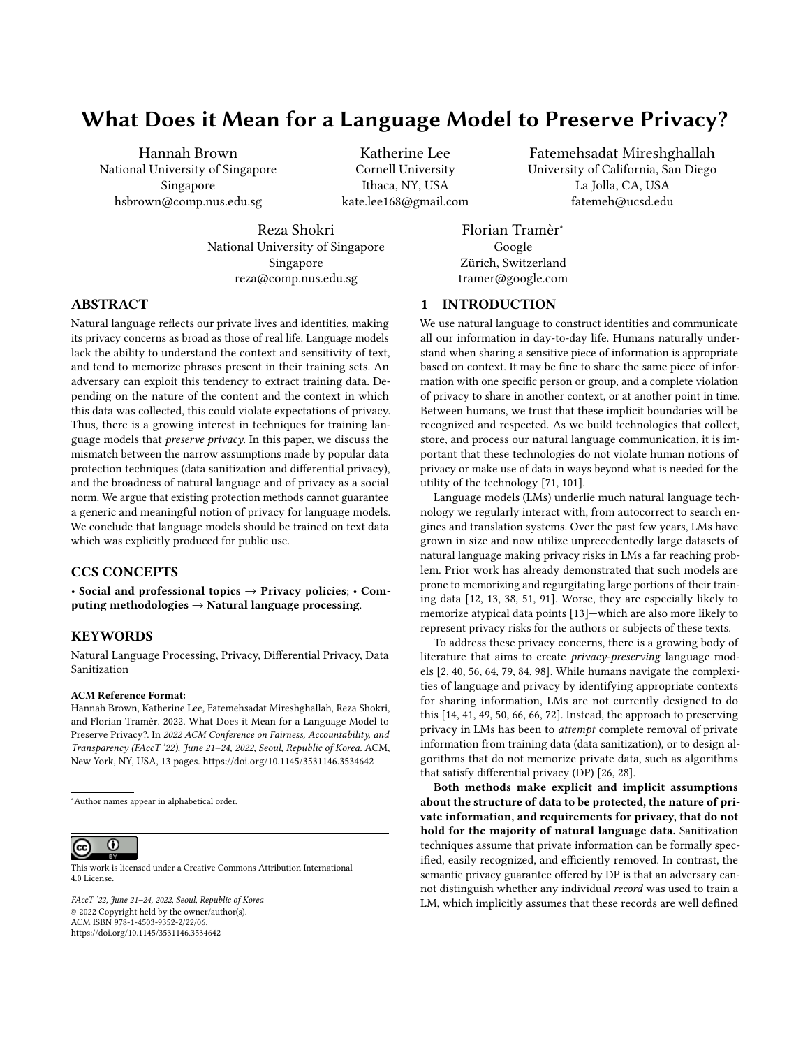- <span id="page-11-6"></span>[49] Ahmet Baki Kocaballi, Juan C. Quiroz, Dana Rezazadegan, Shlomo Berkovsky, Farah Magrabi, Enrico Coiera, and Liliana Laranjo. 2020. Responses of Conversational Agents to Health and Lifestyle Prompts: Investigation of Appropriateness and Presentation Structures. Journal of Medical Internet Research 22, 2 (Feb. 2020), e15823.<https://doi.org/10.2196/15823> Company: Journal of Medical Internet Research Distributor: Journal of Medical Internet Research Institution: Journal of Medical Internet Research Label: Journal of Medical Internet Research Publisher: JMIR Publications Inc., Toronto, Canada.
- <span id="page-11-7"></span>[50] Latitude. 2019. Ai dungeon.<https://play.aidungeon.io/>
- <span id="page-11-1"></span>[51] Katherine Lee, Daphne Ippolito, Andrew Nystrom, Chiyuan Zhang, Douglas Eck, Chris Callison-Burch, and Nicholas Carlini. 2021. Deduplicating training data makes language models better. arXiv preprint arXiv:2107.06499 abs/2107.06499 (2021).
- <span id="page-11-20"></span>[52] Eric Lehman, Sarthak Jain, Karl Pichotta, Yoav Goldberg, and Byron C. Wallace. 2021. Does BERT Pretrained on Clinical Notes Reveal Sensitive Data? arXiv[:2104.07762](https://arxiv.org/abs/2104.07762) [cs.CL]
- <span id="page-11-30"></span>[53] Alexandra S. Levine. 2022. Suicide hotline shares data with for-profit spinoff, raising ethical questions. [https://www.politico.com/news/2022/01/28/suicide](https://www.politico.com/news/2022/01/28/suicide-hotline-silicon-valley-privacy-debates-00002617)[hotline-silicon-valley-privacy-debates-00002617](https://www.politico.com/news/2022/01/28/suicide-hotline-silicon-valley-privacy-debates-00002617)
- <span id="page-11-32"></span>[54] Daniel Levy, Ziteng Sun, Kareem Amin, Satyen Kale, Alex Kulesza, Mehryar Mohri, and Ananda Theertha Suresh. 2021. Learning with User-Level Privacy. arXiv preprint arXiv:2102.11845 abs/2102.11845 (2021).
- <span id="page-11-21"></span>[55] Jiwei Li, Michel Galley, Chris Brockett, Georgios Spithourakis, Jianfeng Gao, and Bill Dolan. 2016. A Persona-Based Neural Conversation Model. In Proceedings of the 54th Annual Meeting of the Association for Computational Linguistics (Volume 1: Long Papers). Association for Computational Linguistics, Berlin, Germany, 994–1003.<https://doi.org/10.18653/v1/P16-1094>
- <span id="page-11-2"></span>[56] Xuechen Li, Florian Tramer, Percy Liang, and Tatsunori Hashimoto. 2021. Large language models can be strong differentially private learners. arXiv preprint arXiv:2110.05679 abs/2110.05679 (2021).
- <span id="page-11-27"></span>[57] Pierre Lison, Ildikó Pilán, David Sánchez, Montserrat Batet, and Lilja Øvrelid. 2021. Anonymisation models for text data: State of the art, challenges and future directions. In Proceedings of the 59th Annual Meeting of the Association for Computational Linguistics and the 11th International Joint Conference on Natural Language Processing (Volume 1: Long Papers). ACL, Online, 4188–4203.
- <span id="page-11-12"></span>[58] Yinhan Liu, Myle Ott, Naman Goyal, Jingfei Du, Mandar Joshi, Danqi Chen, Omer Levy, Mike Lewis, Luke Zettlemoyer, and Veselin Stoyanov. 2019. Roberta: A robustly optimized bert pretraining approach.  $\emph{arXiv}$  preprint arXiv:1907.11692 abs/1907.11692 (2019).
- <span id="page-11-14"></span>[59] Yunhui Long, Vincent Bindschaedler, and Carl A. Gunter. 2017. Towards Measuring Membership Privacy. ArXiv abs/1712.09136 (2017).
- <span id="page-11-22"></span>[60] Junyu Lu, Xiancong Ren, Yazhou Ren, Ao Liu, and Zenglin Xu. 2020. Improving Contextual Language Models for Response Retrieval in Multi-Turn Conversation. In Proceedings of the 43rd International ACM SIGIR Conference on Research and Development in Information Retrieval (Virtual Event, China) (SIGIR '20). Association for Computing Machinery, New York, NY, USA, 1805–1808. <https://doi.org/10.1145/3397271.3401255>
- <span id="page-11-18"></span>[61] Saeed Mahloujifar, Huseyin A Inan, Melissa Chase, Esha Ghosh, and Marcello Hasegawa. 2021. Membership Inference on Word Embedding and Beyond. arXiv preprint arXiv:2106.11384 abs/2106.11384 (2021).
- <span id="page-11-23"></span>[62] Bodhisattwa Prasad Majumder, Harsh Jhamtani, Taylor Berg-Kirkpatrick, and Julian McAuley. 2020. Like hiking? You probably enjoy nature: Persona-grounded Dialog with Commonsense Expansions. In Proceedings of the 2020 Conference on Empirical Methods in Natural Language Processing (EMNLP). Association for Computational Linguistics, Online, 9194–9206. [https://doi.org/10.18653/v1/](https://doi.org/10.18653/v1/2020.emnlp-main.739) [2020.emnlp-main.739](https://doi.org/10.18653/v1/2020.emnlp-main.739)
- <span id="page-11-35"></span>[63] Alice E Marwick and danah boyd. 2014. Networked privacy: How teenagers negotiate context in social media. New Media & Society 16, 7 (Nov. 2014), 1051– 1067.<https://doi.org/10.1177/1461444814543995> Publisher: SAGE Publications.
- <span id="page-11-3"></span>[64] H Brendan McMahan, Daniel Ramage, Kunal Talwar, and Li Zhang. 2017. Learning differentially private language models without losing accuracy. arXiv preprint arXiv:1710.06963 abs/1710.06963 (2017).
- <span id="page-11-10"></span>[65] Jamshed Memon, Maira Sami, Rizwan Ahmed Khan, and Mueen Uddin. 2020. Handwritten optical character recognition (OCR): A comprehensive systematic literature review (SLR). IEEE Access 8 (2020), 142642–142668.
- <span id="page-11-8"></span>[66] Adam S. Miner, Liliana Laranjo, and A. Baki Kocaballi. 2020. Chatbots in the fight against the COVID-19 pandemic. npj Digital Medicine 3, 1 (May 2020), 1–4. <https://doi.org/10.1038/s41746-020-0280-0> Bandiera\_abtest: a Cc\_license\_type: cc\_by Cg\_type: Nature Research Journals Number: 1 Primary\_atype: Comments & Opinion Publisher: Nature Publishing Group Subject\_term: Epidemiology;Population screening Subject\_term\_id: epidemiology;population-screening.
- <span id="page-11-13"></span>[67] Sasi Kumar Murakonda and Reza Shokri. 2020. ML Privacy Meter: Aiding regulatory compliance by quantifying the privacy risks of machine learning. Workshop on Hot Topics in Privacy Enhancing Technologies (HotPETs) 1 (2020).
- <span id="page-11-29"></span>[68] Arvind Narayanan and Vitaly Shmatikov. 2008. Robust de-anonymization of large sparse datasets. In 2008 IEEE Symposium on Security and Privacy (sp 2008). IEEE, Oakland, CA, USA, 111–125.
- <span id="page-11-15"></span>[69] Milad Nasr, Reza Shokri, and Amir Houmansadr. 2019. Comprehensive privacy analysis of deep learning: Passive and active white-box inference attacks against centralized and federated learning. In 2019 IEEE symposium on security and privacy (SP). IEEE, San Francisco, CA, United States, 739–753.
- <span id="page-11-33"></span>[70] Milad Nasr, Shuang Songi, Abhradeep Thakurta, Nicolas Papemoti, and Nicholas Carlin. 2021. Adversary instantiation: Lower bounds for differentially private machine learning. In 2021 IEEE Symposium on Security and Privacy (SP). IEEE, San Francisco, 866–882.
- <span id="page-11-0"></span>[71] Helen Nissenbaum. 2009. Privacy in context. Stanford University Press, Stanford, CA.
- <span id="page-11-9"></span>[72] Alicia L. Nobles, Eric C. Leas, Theodore L. Caputi, Shu-Hong Zhu, Steffanie A. Strathdee, and John W. Ayers. 2020. Responses to addiction help-seeking from Alexa, Siri, Google Assistant, Cortana, and Bixby intelligent virtual assistants. npj Digital Medicine 3, 1 (Jan. 2020), 1–3. [https://doi.org/10.1038/s41746-019-](https://doi.org/10.1038/s41746-019-0215-9) [0215-9](https://doi.org/10.1038/s41746-019-0215-9) Bandiera\_abtest: a Cc\_license\_type: cc\_by Cg\_type: Nature Research Journals Number: 1 Primary\_atype: Research Publisher: Nature Publishing Group Subject\_term: Epidemiology;Rehabilitation Subject\_term\_id: epidemiology;rehabilitation.
- <span id="page-11-28"></span>[73] Beau Norgeot, Kathleen Muenzen, Thomas A Peterson, Xuancheng Fan, Benjamin S Glicksberg, Gundolf Schenk, Eugenia Rutenberg, Boris Oskotsky, Marina Sirota, Jinoos Yazdany, et al. 2020. Protected Health Information filter (Philter): accurately and securely de-identifying free-text clinical notes. NPJ digital medicine 3, 1 (2020), 1–8.
- <span id="page-11-11"></span>[74] Daniel S Park, William Chan, Yu Zhang, Chung-Cheng Chiu, Barret Zoph, Ekin D Cubuk, and Quoc V Le. 2019. Specaugment: A simple data augmentation method for automatic speech recognition. arXiv preprint arXiv:1904.08779 abs/1904.08779 (2019).
- <span id="page-11-31"></span>[75] Keith Porcaro. 2022. The real harm of crisis text line's data sharing. [https:](https://www.wired.com/story/consumer-protections-data-services-care/) [//www.wired.com/story/consumer-protections-data-services-care/](https://www.wired.com/story/consumer-protections-data-services-care/)
- <span id="page-11-25"></span>[76] Alec Radford, Jeffrey Wu, Rewon Child, David Luan, Dario Amodei, Ilya Sutskever, et al. 2019. Language models are unsupervised multitask learners. OpenAI blog 1, 8 (2019), 9.
- <span id="page-11-34"></span>[77] Jack W. Rae, Sebastian Borgeaud, Trevor Cai, Katie Millican, Jordan Hoffmann, Francis Song, John Aslanides, Sarah Henderson, Roman Ring, Susannah Young, Eliza Rutherford, Tom Hennigan, Jacob Menick, Albin Cassirer, Richard Powell, George van den Driessche, Lisa Anne Hendricks, Maribeth Rauh, Po-Sen Huang, Amelia Glaese, Johannes Welbl, Sumanth Dathathri, Saffron Huang, Jonathan Uesato, John Mellor, Irina Higgins, Antonia Creswell, Nat McAleese, Amy Wu, Erich Elsen, Siddhant Jayakumar, Elena Buchatskaya, David Budden, Esme Sutherland, Karen Simonyan, Michela Paganini, Laurent Sifre, Lena Martens, Xiang Lorraine Li, Adhiguna Kuncoro, Aida Nematzadeh, Elena Gribovskaya, Domenic Donato, Angeliki Lazaridou, Arthur Mensch, Jean-Baptiste Lespiau, Maria Tsimpoukelli, Nikolai Grigorev, Doug Fritz, Thibault Sottiaux, Mantas Pajarskas, Toby Pohlen, Zhitao Gong, Daniel Toyama, Cyprien de Masson d'Autume, Yujia Li, Tayfun Terzi, Vladimir Mikulik, Igor Babuschkin, Aidan Clark, Diego de Las Casas, Aurelia Guy, Chris Jones, James Bradbury, Matthew Johnson, Blake Hechtman, Laura Weidinger, Iason Gabriel, William Isaac, Ed Lockhart, Simon Osindero, Laura Rimell, Chris Dyer, Oriol Vinyals, Kareem Ayoub, Jeff Stanway, Lorrayne Bennett, Demis Hassabis, Koray Kavukcuoglu, and Geoffrey Irving. 2021. Scaling Language Models: Methods, Analysis & Insights from Training Gopher. arXiv[:2112.11446](https://arxiv.org/abs/2112.11446) [cs.CL]
- <span id="page-11-26"></span>[78] Colin Raffel, Noam Shazeer, Adam Roberts, Katherine Lee, Sharan Narang, Michael Matena, Yanqi Zhou, Wei Li, and Peter J Liu. 2019. Exploring the limits of transfer learning with a unified text-to-text transformer. arXiv preprint arXiv:1910.10683 abs/1910.10683 (2019).
- <span id="page-11-4"></span>[79] Swaroop Ramaswamy, Om Thakkar, Rajiv Mathews, Galen Andrew, H Brendan McMahan, and Françoise Beaufays. 2020. Training production language models without memorizing user data. arXiv preprint arXiv:2009.10031 abs/2009.10031 (2020).
- <span id="page-11-19"></span>[80] Ahmed Salem, Apratim Bhattacharya, Michael Backes, Mario Fritz, and Yang Zhang. 2020. Updates-Leak: Data Set Inference and Reconstruction Attacks in Online Learning. In 29th USENIX Security Symposium (USENIX Security 20). USENIX Association, Online, 1291–1308. [https://www.usenix.org/conference/](https://www.usenix.org/conference/usenixsecurity20/presentation/salem) [usenixsecurity20/presentation/salem](https://www.usenix.org/conference/usenixsecurity20/presentation/salem)
- <span id="page-11-16"></span>[81] Ahmed Salem, Yang Zhang, Mathias Humbert, Mario Fritz, and Michael Backes. 2018. ML-Leaks: Model and Data Independent Membership Inference Attacks and Defenses on Machine Learning Models. ArXiv abs/1806.01246 (2018).
- <span id="page-11-24"></span>[82] Dave Sayers. 2014. The mediated innovation model: A framework for researching media influence in language change. Journal of So-ciolinguistics 18, 2 (2014), 185-212. https://doi.org/10.1111/josl.12069  $ciolinguistics 18, 2 (2014), 185-212.$ arXiv[:https://onlinelibrary.wiley.com/doi/pdf/10.1111/josl.12069](https://arxiv.org/abs/https://onlinelibrary.wiley.com/doi/pdf/10.1111/josl.12069)
- <span id="page-11-17"></span>[83] Virat Shejwalkar, Huseyin A Inan, Amir Houmansadr, and Robert Sim. 2021. Membership Inference Attacks Against NLP Classification Models. In NeurIPS 2021 Workshop Privacy in Machine Learning. NeurIPS, Online.
- <span id="page-11-5"></span>[84] Weiyan Shi, Aiqi Cui, Evan Li, Ruoxi Jia, and Zhou Yu. 2021. Selective Differential Privacy for Language Modeling. arXiv preprint arXiv:2108.12944 abs/2108.12944 (2021).